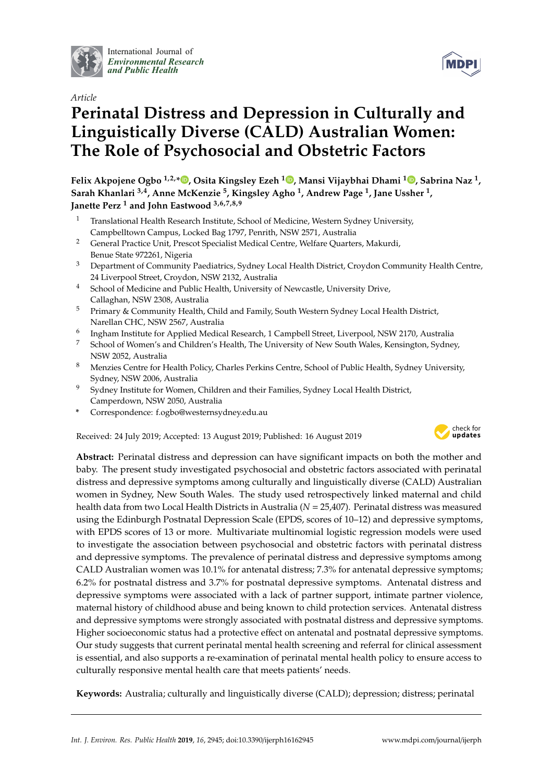

International Journal of *[Environmental Research](http://www.mdpi.com/journal/ijerph) and Public Health*



# **Perinatal Distress and Depression in Culturally and Linguistically Diverse (CALD) Australian Women: The Role of Psychosocial and Obstetric Factors**

**Felix Akpojene Ogbo 1,2,[\\*](https://orcid.org/0000-0001-5159-2315) , Osita Kingsley Ezeh <sup>1</sup> [,](https://orcid.org/0000-0002-2839-2056) Mansi Vijaybhai Dhami [1](https://orcid.org/0000-0003-0722-0631) , Sabrina Naz <sup>1</sup> , Sarah Khanlari 3,4, Anne McKenzie <sup>5</sup> , Kingsley Agho <sup>1</sup> , Andrew Page <sup>1</sup> , Jane Ussher <sup>1</sup> , Janette Perz <sup>1</sup> and John Eastwood 3,6,7,8,9**

- <sup>1</sup> Translational Health Research Institute, School of Medicine, Western Sydney University, Campbelltown Campus, Locked Bag 1797, Penrith, NSW 2571, Australia
- <sup>2</sup> General Practice Unit, Prescot Specialist Medical Centre, Welfare Quarters, Makurdi, Benue State 972261, Nigeria
- <sup>3</sup> Department of Community Paediatrics, Sydney Local Health District, Croydon Community Health Centre, 24 Liverpool Street, Croydon, NSW 2132, Australia
- <sup>4</sup> School of Medicine and Public Health, University of Newcastle, University Drive, Callaghan, NSW 2308, Australia
- <sup>5</sup> Primary & Community Health, Child and Family, South Western Sydney Local Health District, Narellan CHC, NSW 2567, Australia
- 6 Ingham Institute for Applied Medical Research, 1 Campbell Street, Liverpool, NSW 2170, Australia
- <sup>7</sup> School of Women's and Children's Health, The University of New South Wales, Kensington, Sydney, NSW 2052, Australia
- <sup>8</sup> Menzies Centre for Health Policy, Charles Perkins Centre, School of Public Health, Sydney University, Sydney, NSW 2006, Australia
- <sup>9</sup> Sydney Institute for Women, Children and their Families, Sydney Local Health District, Camperdown, NSW 2050, Australia
- **\*** Correspondence: f.ogbo@westernsydney.edu.au

Received: 24 July 2019; Accepted: 13 August 2019; Published: 16 August 2019



**Abstract:** Perinatal distress and depression can have significant impacts on both the mother and baby. The present study investigated psychosocial and obstetric factors associated with perinatal distress and depressive symptoms among culturally and linguistically diverse (CALD) Australian women in Sydney, New South Wales. The study used retrospectively linked maternal and child health data from two Local Health Districts in Australia (*N* = 25,407). Perinatal distress was measured using the Edinburgh Postnatal Depression Scale (EPDS, scores of 10–12) and depressive symptoms, with EPDS scores of 13 or more. Multivariate multinomial logistic regression models were used to investigate the association between psychosocial and obstetric factors with perinatal distress and depressive symptoms. The prevalence of perinatal distress and depressive symptoms among CALD Australian women was 10.1% for antenatal distress; 7.3% for antenatal depressive symptoms; 6.2% for postnatal distress and 3.7% for postnatal depressive symptoms. Antenatal distress and depressive symptoms were associated with a lack of partner support, intimate partner violence, maternal history of childhood abuse and being known to child protection services. Antenatal distress and depressive symptoms were strongly associated with postnatal distress and depressive symptoms. Higher socioeconomic status had a protective effect on antenatal and postnatal depressive symptoms. Our study suggests that current perinatal mental health screening and referral for clinical assessment is essential, and also supports a re-examination of perinatal mental health policy to ensure access to culturally responsive mental health care that meets patients' needs.

**Keywords:** Australia; culturally and linguistically diverse (CALD); depression; distress; perinatal

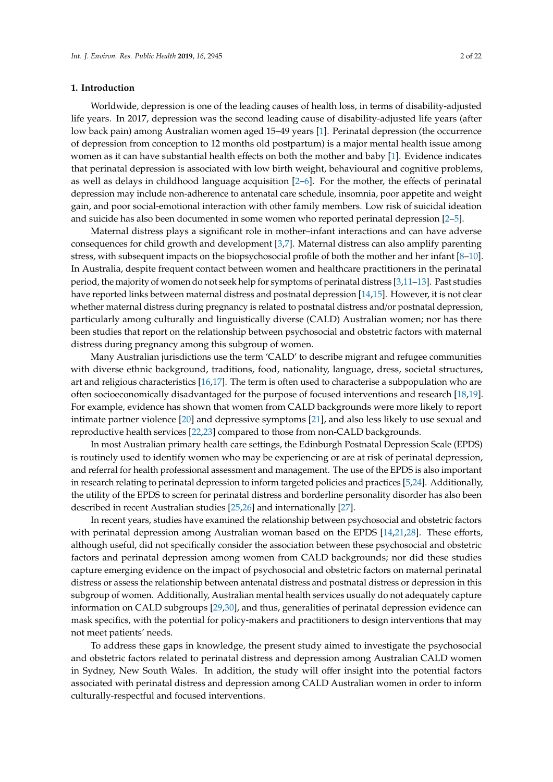## **1. Introduction**

Worldwide, depression is one of the leading causes of health loss, in terms of disability-adjusted life years. In 2017, depression was the second leading cause of disability-adjusted life years (after low back pain) among Australian women aged 15–49 years [\[1\]](#page-17-0). Perinatal depression (the occurrence of depression from conception to 12 months old postpartum) is a major mental health issue among women as it can have substantial health effects on both the mother and baby [\[1\]](#page-17-0). Evidence indicates that perinatal depression is associated with low birth weight, behavioural and cognitive problems, as well as delays in childhood language acquisition [\[2–](#page-17-1)[6\]](#page-17-2). For the mother, the effects of perinatal depression may include non-adherence to antenatal care schedule, insomnia, poor appetite and weight gain, and poor social-emotional interaction with other family members. Low risk of suicidal ideation and suicide has also been documented in some women who reported perinatal depression [\[2](#page-17-1)[–5\]](#page-17-3).

Maternal distress plays a significant role in mother–infant interactions and can have adverse consequences for child growth and development [\[3,](#page-17-4)[7\]](#page-17-5). Maternal distress can also amplify parenting stress, with subsequent impacts on the biopsychosocial profile of both the mother and her infant [\[8–](#page-17-6)[10\]](#page-17-7). In Australia, despite frequent contact between women and healthcare practitioners in the perinatal period, the majority of women do not seek help for symptoms of perinatal distress [\[3](#page-17-4)[,11](#page-18-0)[–13\]](#page-18-1). Past studies have reported links between maternal distress and postnatal depression [\[14,](#page-18-2)[15\]](#page-18-3). However, it is not clear whether maternal distress during pregnancy is related to postnatal distress and/or postnatal depression, particularly among culturally and linguistically diverse (CALD) Australian women; nor has there been studies that report on the relationship between psychosocial and obstetric factors with maternal distress during pregnancy among this subgroup of women.

Many Australian jurisdictions use the term 'CALD' to describe migrant and refugee communities with diverse ethnic background, traditions, food, nationality, language, dress, societal structures, art and religious characteristics [\[16,](#page-18-4)[17\]](#page-18-5). The term is often used to characterise a subpopulation who are often socioeconomically disadvantaged for the purpose of focused interventions and research [\[18,](#page-18-6)[19\]](#page-18-7). For example, evidence has shown that women from CALD backgrounds were more likely to report intimate partner violence [\[20\]](#page-18-8) and depressive symptoms [\[21\]](#page-18-9), and also less likely to use sexual and reproductive health services [\[22](#page-18-10)[,23\]](#page-18-11) compared to those from non-CALD backgrounds.

In most Australian primary health care settings, the Edinburgh Postnatal Depression Scale (EPDS) is routinely used to identify women who may be experiencing or are at risk of perinatal depression, and referral for health professional assessment and management. The use of the EPDS is also important in research relating to perinatal depression to inform targeted policies and practices [\[5](#page-17-3)[,24\]](#page-18-12). Additionally, the utility of the EPDS to screen for perinatal distress and borderline personality disorder has also been described in recent Australian studies [\[25,](#page-18-13)[26\]](#page-18-14) and internationally [\[27\]](#page-18-15).

In recent years, studies have examined the relationship between psychosocial and obstetric factors with perinatal depression among Australian woman based on the EPDS [\[14,](#page-18-2)[21](#page-18-9)[,28\]](#page-18-16). These efforts, although useful, did not specifically consider the association between these psychosocial and obstetric factors and perinatal depression among women from CALD backgrounds; nor did these studies capture emerging evidence on the impact of psychosocial and obstetric factors on maternal perinatal distress or assess the relationship between antenatal distress and postnatal distress or depression in this subgroup of women. Additionally, Australian mental health services usually do not adequately capture information on CALD subgroups [\[29](#page-18-17)[,30\]](#page-18-18), and thus, generalities of perinatal depression evidence can mask specifics, with the potential for policy-makers and practitioners to design interventions that may not meet patients' needs.

To address these gaps in knowledge, the present study aimed to investigate the psychosocial and obstetric factors related to perinatal distress and depression among Australian CALD women in Sydney, New South Wales. In addition, the study will offer insight into the potential factors associated with perinatal distress and depression among CALD Australian women in order to inform culturally-respectful and focused interventions.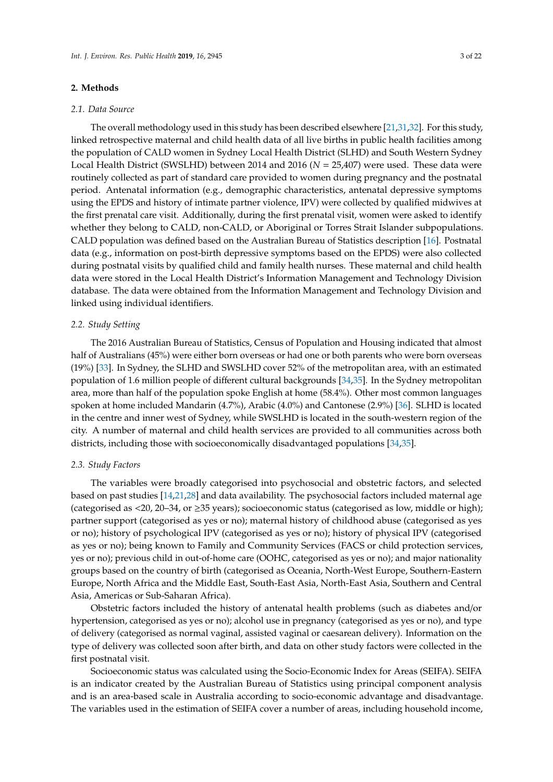## **2. Methods**

### *2.1. Data Source*

The overall methodology used in this study has been described elsewhere [\[21](#page-18-9)[,31](#page-19-0)[,32\]](#page-19-1). For this study, linked retrospective maternal and child health data of all live births in public health facilities among the population of CALD women in Sydney Local Health District (SLHD) and South Western Sydney Local Health District (SWSLHD) between 2014 and 2016 (*N* = 25,407) were used. These data were routinely collected as part of standard care provided to women during pregnancy and the postnatal period. Antenatal information (e.g., demographic characteristics, antenatal depressive symptoms using the EPDS and history of intimate partner violence, IPV) were collected by qualified midwives at the first prenatal care visit. Additionally, during the first prenatal visit, women were asked to identify whether they belong to CALD, non-CALD, or Aboriginal or Torres Strait Islander subpopulations. CALD population was defined based on the Australian Bureau of Statistics description [\[16\]](#page-18-4). Postnatal data (e.g., information on post-birth depressive symptoms based on the EPDS) were also collected during postnatal visits by qualified child and family health nurses. These maternal and child health data were stored in the Local Health District's Information Management and Technology Division database. The data were obtained from the Information Management and Technology Division and linked using individual identifiers.

#### *2.2. Study Setting*

The 2016 Australian Bureau of Statistics, Census of Population and Housing indicated that almost half of Australians (45%) were either born overseas or had one or both parents who were born overseas (19%) [\[33\]](#page-19-2). In Sydney, the SLHD and SWSLHD cover 52% of the metropolitan area, with an estimated population of 1.6 million people of different cultural backgrounds [\[34](#page-19-3)[,35\]](#page-19-4). In the Sydney metropolitan area, more than half of the population spoke English at home (58.4%). Other most common languages spoken at home included Mandarin (4.7%), Arabic (4.0%) and Cantonese (2.9%) [\[36\]](#page-19-5). SLHD is located in the centre and inner west of Sydney, while SWSLHD is located in the south-western region of the city. A number of maternal and child health services are provided to all communities across both districts, including those with socioeconomically disadvantaged populations [\[34](#page-19-3)[,35\]](#page-19-4).

#### *2.3. Study Factors*

The variables were broadly categorised into psychosocial and obstetric factors, and selected based on past studies [\[14](#page-18-2)[,21](#page-18-9)[,28\]](#page-18-16) and data availability. The psychosocial factors included maternal age (categorised as <20, 20–34, or ≥35 years); socioeconomic status (categorised as low, middle or high); partner support (categorised as yes or no); maternal history of childhood abuse (categorised as yes or no); history of psychological IPV (categorised as yes or no); history of physical IPV (categorised as yes or no); being known to Family and Community Services (FACS or child protection services, yes or no); previous child in out-of-home care (OOHC, categorised as yes or no); and major nationality groups based on the country of birth (categorised as Oceania, North-West Europe, Southern-Eastern Europe, North Africa and the Middle East, South-East Asia, North-East Asia, Southern and Central Asia, Americas or Sub-Saharan Africa).

Obstetric factors included the history of antenatal health problems (such as diabetes and/or hypertension, categorised as yes or no); alcohol use in pregnancy (categorised as yes or no), and type of delivery (categorised as normal vaginal, assisted vaginal or caesarean delivery). Information on the type of delivery was collected soon after birth, and data on other study factors were collected in the first postnatal visit.

Socioeconomic status was calculated using the Socio-Economic Index for Areas (SEIFA). SEIFA is an indicator created by the Australian Bureau of Statistics using principal component analysis and is an area-based scale in Australia according to socio-economic advantage and disadvantage. The variables used in the estimation of SEIFA cover a number of areas, including household income,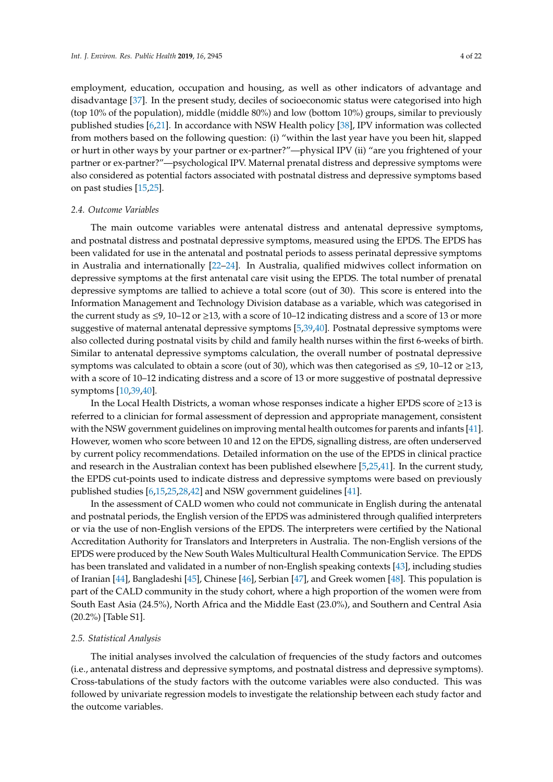employment, education, occupation and housing, as well as other indicators of advantage and disadvantage [\[37\]](#page-19-6). In the present study, deciles of socioeconomic status were categorised into high (top 10% of the population), middle (middle 80%) and low (bottom 10%) groups, similar to previously published studies [\[6](#page-17-2)[,21\]](#page-18-9). In accordance with NSW Health policy [\[38\]](#page-19-7), IPV information was collected from mothers based on the following question: (i) "within the last year have you been hit, slapped or hurt in other ways by your partner or ex-partner?"—physical IPV (ii) "are you frightened of your partner or ex-partner?"—psychological IPV. Maternal prenatal distress and depressive symptoms were also considered as potential factors associated with postnatal distress and depressive symptoms based on past studies [\[15](#page-18-3)[,25\]](#page-18-13).

## *2.4. Outcome Variables*

The main outcome variables were antenatal distress and antenatal depressive symptoms, and postnatal distress and postnatal depressive symptoms, measured using the EPDS. The EPDS has been validated for use in the antenatal and postnatal periods to assess perinatal depressive symptoms in Australia and internationally [\[22](#page-18-10)[–24\]](#page-18-12). In Australia, qualified midwives collect information on depressive symptoms at the first antenatal care visit using the EPDS. The total number of prenatal depressive symptoms are tallied to achieve a total score (out of 30). This score is entered into the Information Management and Technology Division database as a variable, which was categorised in the current study as ≤9, 10–12 or ≥13, with a score of 10–12 indicating distress and a score of 13 or more suggestive of maternal antenatal depressive symptoms [\[5](#page-17-3)[,39](#page-19-8)[,40\]](#page-19-9). Postnatal depressive symptoms were also collected during postnatal visits by child and family health nurses within the first 6-weeks of birth. Similar to antenatal depressive symptoms calculation, the overall number of postnatal depressive symptoms was calculated to obtain a score (out of 30), which was then categorised as  $\leq$ 9, 10–12 or  $\geq$ 13, with a score of 10–12 indicating distress and a score of 13 or more suggestive of postnatal depressive symptoms [\[10,](#page-17-7)[39,](#page-19-8)[40\]](#page-19-9).

In the Local Health Districts, a woman whose responses indicate a higher EPDS score of ≥13 is referred to a clinician for formal assessment of depression and appropriate management, consistent with the NSW government guidelines on improving mental health outcomes for parents and infants [\[41\]](#page-19-10). However, women who score between 10 and 12 on the EPDS, signalling distress, are often underserved by current policy recommendations. Detailed information on the use of the EPDS in clinical practice and research in the Australian context has been published elsewhere [\[5,](#page-17-3)[25,](#page-18-13)[41\]](#page-19-10). In the current study, the EPDS cut-points used to indicate distress and depressive symptoms were based on previously published studies [\[6,](#page-17-2)[15,](#page-18-3)[25,](#page-18-13)[28,](#page-18-16)[42\]](#page-19-11) and NSW government guidelines [\[41\]](#page-19-10).

In the assessment of CALD women who could not communicate in English during the antenatal and postnatal periods, the English version of the EPDS was administered through qualified interpreters or via the use of non-English versions of the EPDS. The interpreters were certified by the National Accreditation Authority for Translators and Interpreters in Australia. The non-English versions of the EPDS were produced by the New South Wales Multicultural Health Communication Service. The EPDS has been translated and validated in a number of non-English speaking contexts [\[43\]](#page-19-12), including studies of Iranian [\[44\]](#page-19-13), Bangladeshi [\[45\]](#page-19-14), Chinese [\[46\]](#page-19-15), Serbian [\[47\]](#page-19-16), and Greek women [\[48\]](#page-19-17). This population is part of the CALD community in the study cohort, where a high proportion of the women were from South East Asia (24.5%), North Africa and the Middle East (23.0%), and Southern and Central Asia (20.2%) [Table S1].

## *2.5. Statistical Analysis*

The initial analyses involved the calculation of frequencies of the study factors and outcomes (i.e., antenatal distress and depressive symptoms, and postnatal distress and depressive symptoms). Cross-tabulations of the study factors with the outcome variables were also conducted. This was followed by univariate regression models to investigate the relationship between each study factor and the outcome variables.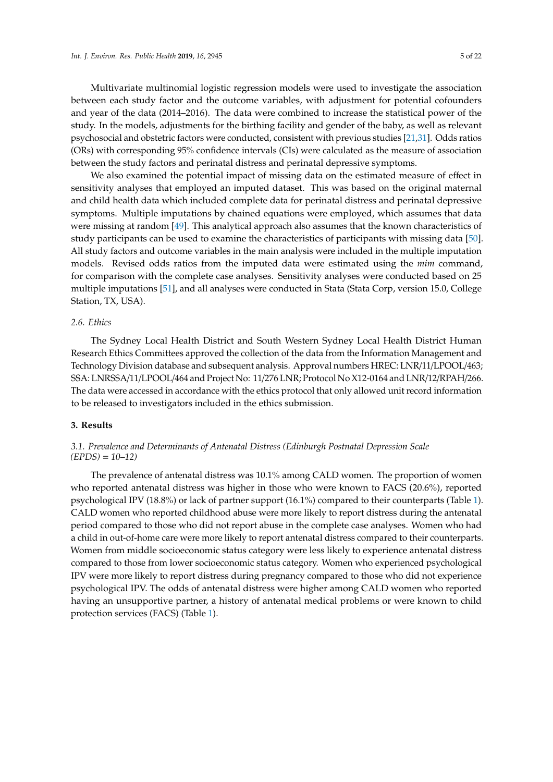Multivariate multinomial logistic regression models were used to investigate the association between each study factor and the outcome variables, with adjustment for potential cofounders and year of the data (2014–2016). The data were combined to increase the statistical power of the study. In the models, adjustments for the birthing facility and gender of the baby, as well as relevant psychosocial and obstetric factors were conducted, consistent with previous studies [\[21](#page-18-9)[,31\]](#page-19-0). Odds ratios (ORs) with corresponding 95% confidence intervals (CIs) were calculated as the measure of association between the study factors and perinatal distress and perinatal depressive symptoms.

We also examined the potential impact of missing data on the estimated measure of effect in sensitivity analyses that employed an imputed dataset. This was based on the original maternal and child health data which included complete data for perinatal distress and perinatal depressive symptoms. Multiple imputations by chained equations were employed, which assumes that data were missing at random [\[49\]](#page-19-18). This analytical approach also assumes that the known characteristics of study participants can be used to examine the characteristics of participants with missing data [\[50\]](#page-19-19). All study factors and outcome variables in the main analysis were included in the multiple imputation models. Revised odds ratios from the imputed data were estimated using the *mim* command, for comparison with the complete case analyses. Sensitivity analyses were conducted based on 25 multiple imputations [\[51\]](#page-19-20), and all analyses were conducted in Stata (Stata Corp, version 15.0, College Station, TX, USA).

## *2.6. Ethics*

The Sydney Local Health District and South Western Sydney Local Health District Human Research Ethics Committees approved the collection of the data from the Information Management and Technology Division database and subsequent analysis. Approval numbers HREC: LNR/11/LPOOL/463; SSA: LNRSSA/11/LPOOL/464 and Project No: 11/276 LNR; Protocol No X12-0164 and LNR/12/RPAH/266. The data were accessed in accordance with the ethics protocol that only allowed unit record information to be released to investigators included in the ethics submission.

## **3. Results**

## *3.1. Prevalence and Determinants of Antenatal Distress (Edinburgh Postnatal Depression Scale (EPDS)* = *10–12)*

The prevalence of antenatal distress was 10.1% among CALD women. The proportion of women who reported antenatal distress was higher in those who were known to FACS (20.6%), reported psychological IPV (18.8%) or lack of partner support (16.1%) compared to their counterparts (Table [1\)](#page-6-0). CALD women who reported childhood abuse were more likely to report distress during the antenatal period compared to those who did not report abuse in the complete case analyses. Women who had a child in out-of-home care were more likely to report antenatal distress compared to their counterparts. Women from middle socioeconomic status category were less likely to experience antenatal distress compared to those from lower socioeconomic status category. Women who experienced psychological IPV were more likely to report distress during pregnancy compared to those who did not experience psychological IPV. The odds of antenatal distress were higher among CALD women who reported having an unsupportive partner, a history of antenatal medical problems or were known to child protection services (FACS) (Table [1\)](#page-6-0).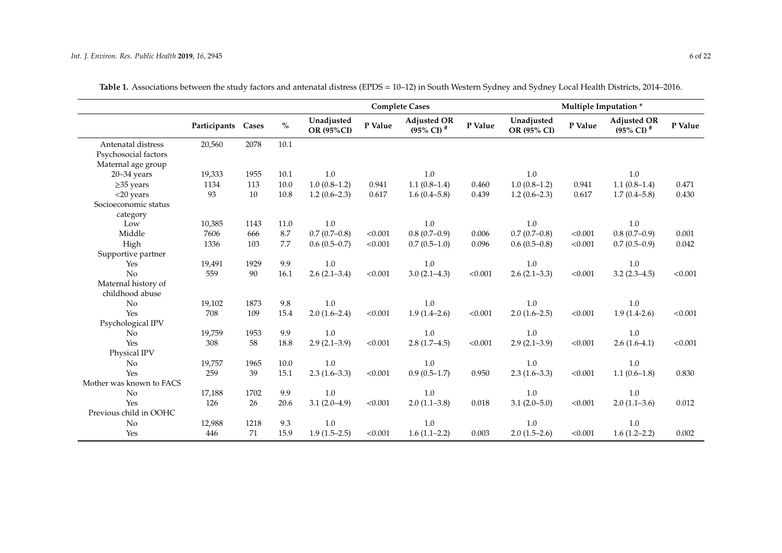|                                        |                    |      |                                    |                          |         | <b>Complete Cases</b>                       |         | Multiple Imputation *     |         |                                             |         |
|----------------------------------------|--------------------|------|------------------------------------|--------------------------|---------|---------------------------------------------|---------|---------------------------|---------|---------------------------------------------|---------|
|                                        | Participants Cases |      | $\mathbf{O}_{\mathbf{O}}^{\prime}$ | Unadjusted<br>OR (95%CI) | P Value | <b>Adjusted OR</b><br>(95% CI) <sup>#</sup> | P Value | Unadjusted<br>OR (95% CI) | P Value | <b>Adjusted OR</b><br>(95% CI) <sup>#</sup> | P Value |
| Antenatal distress                     | 20,560             | 2078 | 10.1                               |                          |         |                                             |         |                           |         |                                             |         |
| Psychosocial factors                   |                    |      |                                    |                          |         |                                             |         |                           |         |                                             |         |
| Maternal age group                     |                    |      |                                    |                          |         |                                             |         |                           |         |                                             |         |
| $20 - 34$ years                        | 19,333             | 1955 | 10.1                               | 1.0                      |         | $1.0\,$                                     |         | 1.0                       |         | 1.0                                         |         |
| $\geq$ 35 years                        | 1134               | 113  | 10.0                               | $1.0(0.8-1.2)$           | 0.941   | $1.1(0.8-1.4)$                              | 0.460   | $1.0(0.8-1.2)$            | 0.941   | $1.1(0.8-1.4)$                              | 0.471   |
| <20 years                              | 93                 | 10   | 10.8                               | $1.2(0.6-2.3)$           | 0.617   | $1.6(0.4 - 5.8)$                            | 0.439   | $1.2(0.6-2.3)$            | 0.617   | $1.7(0.4 - 5.8)$                            | 0.430   |
| Socioeconomic status                   |                    |      |                                    |                          |         |                                             |         |                           |         |                                             |         |
| category                               |                    |      |                                    |                          |         |                                             |         |                           |         |                                             |         |
| Low                                    | 10,385             | 1143 | 11.0                               | 1.0                      |         | $1.0\,$                                     |         | 1.0                       |         | 1.0                                         |         |
| Middle                                 | 7606               | 666  | 8.7                                | $0.7(0.7-0.8)$           | < 0.001 | $0.8(0.7-0.9)$                              | 0.006   | $0.7(0.7-0.8)$            | < 0.001 | $0.8(0.7-0.9)$                              | 0.001   |
| High                                   | 1336               | 103  | 7.7                                | $0.6(0.5-0.7)$           | < 0.001 | $0.7(0.5-1.0)$                              | 0.096   | $0.6(0.5-0.8)$            | < 0.001 | $0.7(0.5-0.9)$                              | 0.042   |
| Supportive partner                     |                    |      |                                    |                          |         |                                             |         |                           |         |                                             |         |
| Yes                                    | 19,491             | 1929 | 9.9                                | $1.0\,$                  |         | $1.0\,$                                     |         | $1.0\,$                   |         | 1.0                                         |         |
| No                                     | 559                | 90   | 16.1                               | $2.6(2.1 - 3.4)$         | < 0.001 | $3.0(2.1-4.3)$                              | < 0.001 | $2.6(2.1-3.3)$            | < 0.001 | $3.2(2.3-4.5)$                              | < 0.001 |
| Maternal history of<br>childhood abuse |                    |      |                                    |                          |         |                                             |         |                           |         |                                             |         |
| No                                     | 19,102             | 1873 | 9.8                                | $1.0\,$                  |         | $1.0\,$                                     |         | $1.0\,$                   |         | 1.0                                         |         |
| Yes                                    | 708                | 109  | 15.4                               | $2.0(1.6-2.4)$           | < 0.001 | $1.9(1.4-2.6)$                              | < 0.001 | $2.0(1.6-2.5)$            | < 0.001 | $1.9(1.4-2.6)$                              | < 0.001 |
| Psychological IPV                      |                    |      |                                    |                          |         |                                             |         |                           |         |                                             |         |
| No                                     | 19,759             | 1953 | 9.9                                | 1.0                      |         | $1.0\,$                                     |         | 1.0                       |         | $1.0\,$                                     |         |
| Yes                                    | 308                | 58   | 18.8                               | $2.9(2.1 - 3.9)$         | < 0.001 | $2.8(1.7-4.5)$                              | < 0.001 | $2.9(2.1 - 3.9)$          | < 0.001 | $2.6(1.6-4.1)$                              | < 0.001 |
| Physical IPV                           |                    |      |                                    |                          |         |                                             |         |                           |         |                                             |         |
| No                                     | 19,757             | 1965 | 10.0                               | $1.0\,$                  |         | $1.0\,$                                     |         | $1.0\,$                   |         | $1.0\,$                                     |         |
| Yes                                    | 259                | 39   | 15.1                               | $2.3(1.6-3.3)$           | < 0.001 | $0.9(0.5-1.7)$                              | 0.950   | $2.3(1.6-3.3)$            | < 0.001 | $1.1(0.6-1.8)$                              | 0.830   |
| Mother was known to FACS               |                    |      |                                    |                          |         |                                             |         |                           |         |                                             |         |
| No                                     | 17,188             | 1702 | 9.9                                | 1.0                      |         | $1.0\,$                                     |         | 1.0                       |         | $1.0\,$                                     |         |
| Yes                                    | 126                | 26   | 20.6                               | $3.1(2.0-4.9)$           | < 0.001 | $2.0(1.1-3.8)$                              | 0.018   | $3.1(2.0 - 5.0)$          | < 0.001 | $2.0(1.1-3.6)$                              | 0.012   |
| Previous child in OOHC                 |                    |      |                                    |                          |         |                                             |         |                           |         |                                             |         |
| No                                     | 12,988             | 1218 | 9.3                                | 1.0                      |         | $1.0\,$                                     |         | $1.0\,$                   |         | 1.0                                         |         |
| Yes                                    | 446                | 71   | 15.9                               | $1.9(1.5-2.5)$           | < 0.001 | $1.6(1.1-2.2)$                              | 0.003   | $2.0(1.5-2.6)$            | < 0.001 | $1.6(1.2 - 2.2)$                            | 0.002   |

Table 1. Associations between the study factors and antenatal distress (EPDS = 10-12) in South Western Sydney and Sydney Local Health Districts, 2014-2016.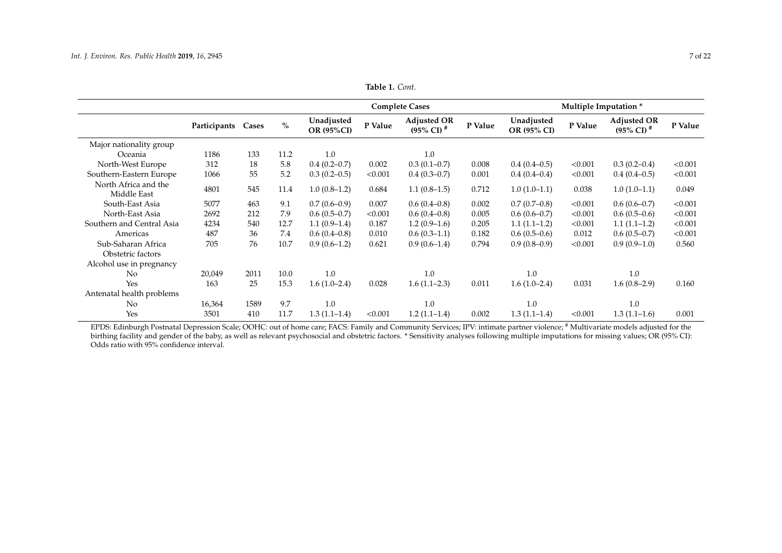Alcohol use in pregnancy

<span id="page-6-0"></span>Antenatal health problems

|                                     | 1401e 1. Com. |       |      |                                 |         |                                                        |         |                           |                       |                                                        |         |
|-------------------------------------|---------------|-------|------|---------------------------------|---------|--------------------------------------------------------|---------|---------------------------|-----------------------|--------------------------------------------------------|---------|
|                                     |               |       |      |                                 |         | <b>Complete Cases</b>                                  |         |                           | Multiple Imputation * |                                                        |         |
|                                     | Participants  | Cases | $\%$ | Unadjusted<br><b>OR (95%CI)</b> | P Value | <b>Adjusted OR</b><br>$(95\% \text{ CI})$ <sup>#</sup> | P Value | Unadjusted<br>OR (95% CI) | P Value               | <b>Adjusted OR</b><br>$(95\% \text{ CI})$ <sup>#</sup> | P Value |
| Major nationality group             |               |       |      |                                 |         |                                                        |         |                           |                       |                                                        |         |
| Oceania                             | 1186          | 133   | 11.2 | 1.0                             |         | 1.0                                                    |         |                           |                       |                                                        |         |
| North-West Europe                   | 312           | 18    | 5.8  | $0.4(0.2-0.7)$                  | 0.002   | $0.3(0.1-0.7)$                                         | 0.008   | $0.4(0.4-0.5)$            | < 0.001               | $0.3(0.2-0.4)$                                         | < 0.001 |
| Southern-Eastern Europe             | 1066          | 55    | 5.2  | $0.3(0.2-0.5)$                  | < 0.001 | $0.4(0.3-0.7)$                                         | 0.001   | $0.4(0.4-0.4)$            | < 0.001               | $0.4(0.4-0.5)$                                         | < 0.001 |
| North Africa and the<br>Middle East | 4801          | 545   | 11.4 | $1.0(0.8-1.2)$                  | 0.684   | $1.1(0.8-1.5)$                                         | 0.712   | $1.0(1.0-1.1)$            | 0.038                 | $1.0(1.0-1.1)$                                         | 0.049   |
| South-East Asia                     | 5077          | 463   | 9.1  | $0.7(0.6-0.9)$                  | 0.007   | $0.6(0.4-0.8)$                                         | 0.002   | $0.7(0.7-0.8)$            | < 0.001               | $0.6(0.6-0.7)$                                         | < 0.001 |
| North-East Asia                     | 2692          | 212   | 7.9  | $0.6(0.5-0.7)$                  | < 0.001 | $0.6(0.4-0.8)$                                         | 0.005   | $0.6(0.6-0.7)$            | < 0.001               | $0.6(0.5-0.6)$                                         | < 0.001 |
| Southern and Central Asia           | 4234          | 540   | 12.7 | $1.1(0.9-1.4)$                  | 0.187   | $1.2(0.9-1.6)$                                         | 0.205   | $1.1(1.1-1.2)$            | < 0.001               | $1.1(1.1-1.2)$                                         | < 0.001 |
| Americas                            | 487           | 36    | 7.4  | $0.6(0.4-0.8)$                  | 0.010   | $0.6(0.3-1.1)$                                         | 0.182   | $0.6(0.5-0.6)$            | 0.012                 | $0.6(0.5-0.7)$                                         | < 0.001 |
| Sub-Saharan Africa                  | 705           | 76    | 10.7 | $0.9(0.6-1.2)$                  | 0.621   | $0.9(0.6-1.4)$                                         | 0.794   | $0.9(0.8-0.9)$            | < 0.001               | $0.9(0.9-1.0)$                                         | 0.560   |
| Obstetric factors                   |               |       |      |                                 |         |                                                        |         |                           |                       |                                                        |         |

**Table 1.** *Cont.*

EPDS: Edinburgh Postnatal Depression Scale; OOHC: out of home care; FACS: Family and Community Services; IPV: intimate partner violence; # Multivariate models adjusted for the birthing facility and gender of the baby, as well as relevant psychosocial and obstetric factors. \* Sensitivity analyses following multiple imputations for missing values; OR (95% CI): Odds ratio with 95% confidence interval.

No 20,049 2011 10.0 1.0 1.0 1.0 1.0 1.0 1.0 1.0

No 16,364 1589 9.7 1.0 1.0 1.0 1.0 1.0 1.0

Yes 163 25 15.3 1.6 (1.0–2.4) 0.028 1.6 (1.1–2.3) 0.011 1.6 (1.0–2.4) 0.031 1.6 (0.8–2.9) 0.160

Yes 3501 410 11.7 1.3 (1.1–1.4) <0.001 1.2 (1.1–1.4) 0.002 1.3 (1.1–1.4) <0.001 1.3 (1.1–1.6) 0.001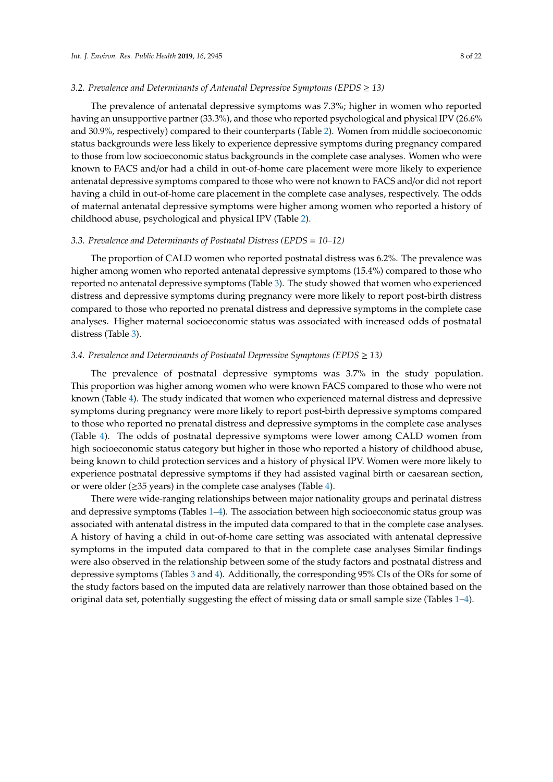### *3.2. Prevalence and Determinants of Antenatal Depressive Symptoms (EPDS* ≥ *13)*

The prevalence of antenatal depressive symptoms was 7.3%; higher in women who reported having an unsupportive partner (33.3%), and those who reported psychological and physical IPV (26.6% and 30.9%, respectively) compared to their counterparts (Table [2\)](#page-9-0). Women from middle socioeconomic status backgrounds were less likely to experience depressive symptoms during pregnancy compared to those from low socioeconomic status backgrounds in the complete case analyses. Women who were known to FACS and/or had a child in out-of-home care placement were more likely to experience antenatal depressive symptoms compared to those who were not known to FACS and/or did not report having a child in out-of-home care placement in the complete case analyses, respectively. The odds of maternal antenatal depressive symptoms were higher among women who reported a history of childhood abuse, psychological and physical IPV (Table [2\)](#page-9-0).

### *3.3. Prevalence and Determinants of Postnatal Distress (EPDS* = *10–12)*

The proportion of CALD women who reported postnatal distress was 6.2%. The prevalence was higher among women who reported antenatal depressive symptoms (15.4%) compared to those who reported no antenatal depressive symptoms (Table [3\)](#page-11-0). The study showed that women who experienced distress and depressive symptoms during pregnancy were more likely to report post-birth distress compared to those who reported no prenatal distress and depressive symptoms in the complete case analyses. Higher maternal socioeconomic status was associated with increased odds of postnatal distress (Table [3\)](#page-11-0).

#### *3.4. Prevalence and Determinants of Postnatal Depressive Symptoms (EPDS* ≥ *13)*

The prevalence of postnatal depressive symptoms was 3.7% in the study population. This proportion was higher among women who were known FACS compared to those who were not known (Table [4\)](#page-13-0). The study indicated that women who experienced maternal distress and depressive symptoms during pregnancy were more likely to report post-birth depressive symptoms compared to those who reported no prenatal distress and depressive symptoms in the complete case analyses (Table [4\)](#page-13-0). The odds of postnatal depressive symptoms were lower among CALD women from high socioeconomic status category but higher in those who reported a history of childhood abuse, being known to child protection services and a history of physical IPV. Women were more likely to experience postnatal depressive symptoms if they had assisted vaginal birth or caesarean section, or were older  $(\geq 35$  years) in the complete case analyses (Table [4\)](#page-13-0).

There were wide-ranging relationships between major nationality groups and perinatal distress and depressive symptoms (Tables [1–](#page-6-0)[4\)](#page-13-0). The association between high socioeconomic status group was associated with antenatal distress in the imputed data compared to that in the complete case analyses. A history of having a child in out-of-home care setting was associated with antenatal depressive symptoms in the imputed data compared to that in the complete case analyses Similar findings were also observed in the relationship between some of the study factors and postnatal distress and depressive symptoms (Tables [3](#page-11-0) and [4\)](#page-13-0). Additionally, the corresponding 95% CIs of the ORs for some of the study factors based on the imputed data are relatively narrower than those obtained based on the original data set, potentially suggesting the effect of missing data or small sample size (Tables [1–](#page-6-0)[4\)](#page-13-0).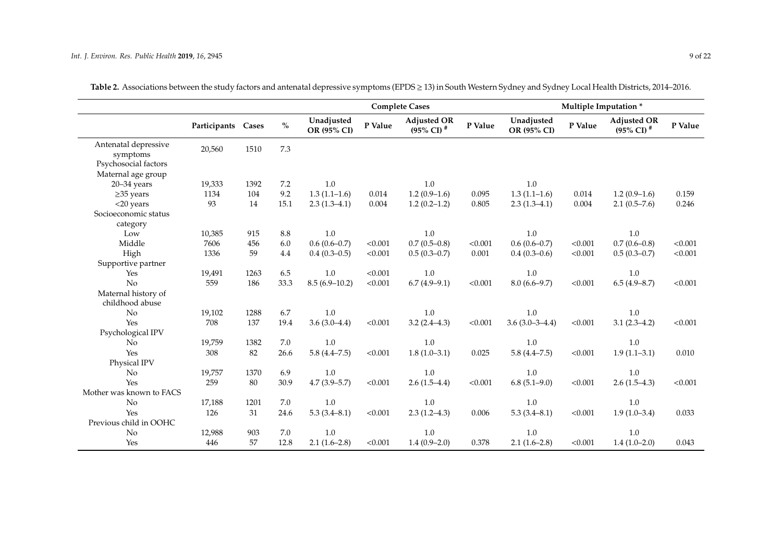|                                  |                    |      |                                    |                           |         | <b>Complete Cases</b>                       |         |                           | Multiple Imputation * |                                             |         |  |
|----------------------------------|--------------------|------|------------------------------------|---------------------------|---------|---------------------------------------------|---------|---------------------------|-----------------------|---------------------------------------------|---------|--|
|                                  | Participants Cases |      | $\mathbf{0}_{\mathbf{0}}^{\prime}$ | Unadjusted<br>OR (95% CI) | P Value | <b>Adjusted OR</b><br>(95% CI) <sup>#</sup> | P Value | Unadjusted<br>OR (95% CI) | P Value               | <b>Adjusted OR</b><br>(95% CI) <sup>#</sup> | P Value |  |
| Antenatal depressive<br>symptoms | 20,560             | 1510 | 7.3                                |                           |         |                                             |         |                           |                       |                                             |         |  |
| Psychosocial factors             |                    |      |                                    |                           |         |                                             |         |                           |                       |                                             |         |  |
| Maternal age group               |                    |      |                                    |                           |         |                                             |         |                           |                       |                                             |         |  |
| $20 - 34$ years                  | 19,333             | 1392 | 7.2                                | 1.0                       |         | $1.0\,$                                     |         | $1.0\,$                   |                       |                                             |         |  |
| $\geq$ 35 years                  | 1134               | 104  | 9.2                                | $1.3(1.1-1.6)$            | 0.014   | $1.2(0.9-1.6)$                              | 0.095   | $1.3(1.1-1.6)$            | 0.014                 | $1.2(0.9-1.6)$                              | 0.159   |  |
| $<$ 20 years                     | 93                 | 14   | 15.1                               | $2.3(1.3-4.1)$            | 0.004   | $1.2(0.2-1.2)$                              | 0.805   | $2.3(1.3-4.1)$            | 0.004                 | $2.1(0.5 - 7.6)$                            | 0.246   |  |
| Socioeconomic status             |                    |      |                                    |                           |         |                                             |         |                           |                       |                                             |         |  |
| category                         |                    |      |                                    |                           |         |                                             |         |                           |                       |                                             |         |  |
| Low                              | 10,385             | 915  | 8.8                                | 1.0                       |         | $1.0\,$                                     |         | 1.0                       |                       | 1.0                                         |         |  |
| Middle                           | 7606               | 456  | 6.0                                | $0.6(0.6-0.7)$            | < 0.001 | $0.7(0.5-0.8)$                              | < 0.001 | $0.6(0.6-0.7)$            | < 0.001               | $0.7(0.6-0.8)$                              | < 0.001 |  |
| High                             | 1336               | 59   | 4.4                                | $0.4(0.3-0.5)$            | < 0.001 | $0.5(0.3-0.7)$                              | 0.001   | $0.4(0.3-0.6)$            | < 0.001               | $0.5(0.3-0.7)$                              | < 0.001 |  |
| Supportive partner               |                    |      |                                    |                           |         |                                             |         |                           |                       |                                             |         |  |
| Yes                              | 19,491             | 1263 | 6.5                                | 1.0                       | < 0.001 | 1.0                                         |         | 1.0                       |                       | $1.0\,$                                     |         |  |
| No                               | 559                | 186  | 33.3                               | $8.5(6.9-10.2)$           | < 0.001 | $6.7(4.9-9.1)$                              | < 0.001 | $8.0(6.6 - 9.7)$          | < 0.001               | $6.5(4.9 - 8.7)$                            | < 0.001 |  |
| Maternal history of              |                    |      |                                    |                           |         |                                             |         |                           |                       |                                             |         |  |
| childhood abuse                  |                    |      |                                    |                           |         |                                             |         |                           |                       |                                             |         |  |
| N <sub>o</sub>                   | 19,102             | 1288 | 6.7                                | 1.0                       |         | 1.0                                         |         | 1.0                       |                       | 1.0                                         |         |  |
| Yes                              | 708                | 137  | 19.4                               | $3.6(3.0-4.4)$            | < 0.001 | $3.2(2.4 - 4.3)$                            | < 0.001 | $3.6(3.0 - 3 - 4.4)$      | < 0.001               | $3.1(2.3-4.2)$                              | < 0.001 |  |
| Psychological IPV                |                    |      |                                    |                           |         |                                             |         |                           |                       |                                             |         |  |
| N <sub>o</sub>                   | 19,759             | 1382 | 7.0                                | $1.0\,$                   |         | 1.0                                         |         | $1.0\,$                   |                       | $1.0\,$                                     |         |  |
| Yes                              | 308                | 82   | 26.6                               | $5.8(4.4 - 7.5)$          | < 0.001 | $1.8(1.0-3.1)$                              | 0.025   | $5.8(4.4 - 7.5)$          | < 0.001               | $1.9(1.1-3.1)$                              | 0.010   |  |
| Physical IPV                     |                    |      |                                    |                           |         |                                             |         |                           |                       |                                             |         |  |
| N <sub>o</sub>                   | 19,757             | 1370 | 6.9                                | 1.0                       |         | 1.0                                         |         | $1.0\,$                   |                       | $1.0\,$                                     |         |  |
| Yes                              | 259                | 80   | 30.9                               | $4.7(3.9 - 5.7)$          | < 0.001 | $2.6(1.5-4.4)$                              | < 0.001 | $6.8(5.1-9.0)$            | < 0.001               | $2.6(1.5-4.3)$                              | < 0.001 |  |
| Mother was known to FACS         |                    |      |                                    |                           |         |                                             |         |                           |                       |                                             |         |  |
| N <sub>o</sub>                   | 17,188             | 1201 | $7.0\,$                            | $1.0\,$                   |         | 1.0                                         |         | $1.0\,$                   |                       | 1.0                                         |         |  |
| Yes                              | 126                | 31   | 24.6                               | $5.3(3.4 - 8.1)$          | < 0.001 | $2.3(1.2-4.3)$                              | 0.006   | $5.3(3.4 - 8.1)$          | < 0.001               | $1.9(1.0-3.4)$                              | 0.033   |  |
| Previous child in OOHC           |                    |      |                                    |                           |         |                                             |         |                           |                       |                                             |         |  |
| N <sub>0</sub>                   | 12,988             | 903  | 7.0                                | 1.0                       |         | 1.0                                         |         | $1.0\,$                   |                       | 1.0                                         |         |  |
| Yes                              | 446                | 57   | 12.8                               | $2.1(1.6-2.8)$            | < 0.001 | $1.4(0.9-2.0)$                              | 0.378   | $2.1(1.6-2.8)$            | < 0.001               | $1.4(1.0-2.0)$                              | 0.043   |  |
|                                  |                    |      |                                    |                           |         |                                             |         |                           |                       |                                             |         |  |

**Table 2.** Associations between the study factors and antenatal depressive symptoms (EPDS ≥ 13) in South Western Sydney and Sydney Local Health Districts, 2014–2016.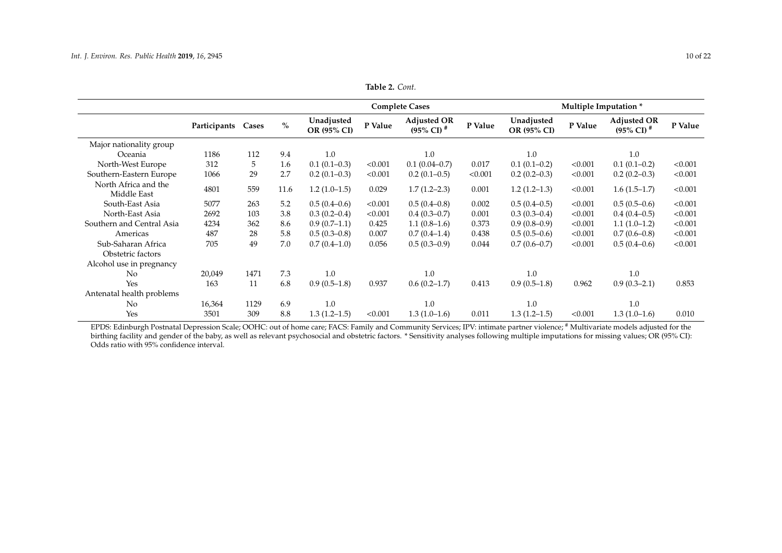|                                     |        |                    |               | <b>Complete Cases</b>     |         |                                                        |         | Multiple Imputation *     |         |                                                        |         |
|-------------------------------------|--------|--------------------|---------------|---------------------------|---------|--------------------------------------------------------|---------|---------------------------|---------|--------------------------------------------------------|---------|
|                                     |        | Participants Cases | $\frac{0}{0}$ | Unadjusted<br>OR (95% CI) | P Value | <b>Adjusted OR</b><br>$(95\% \text{ CI})$ <sup>#</sup> | P Value | Unadjusted<br>OR (95% CI) | P Value | <b>Adjusted OR</b><br>$(95\% \text{ CI})$ <sup>#</sup> | P Value |
| Major nationality group             |        |                    |               |                           |         |                                                        |         |                           |         |                                                        |         |
| Oceania                             | 1186   | 112                | 9.4           | 1.0                       |         | 1.0                                                    |         | 1.0                       |         | 1.0                                                    |         |
| North-West Europe                   | 312    | 5                  | 1.6           | $0.1(0.1-0.3)$            | < 0.001 | $0.1(0.04 - 0.7)$                                      | 0.017   | $0.1(0.1-0.2)$            | < 0.001 | $0.1(0.1-0.2)$                                         | < 0.001 |
| Southern-Eastern Europe             | 1066   | 29                 | 2.7           | $0.2(0.1-0.3)$            | < 0.001 | $0.2(0.1-0.5)$                                         | < 0.001 | $0.2(0.2-0.3)$            | < 0.001 | $0.2(0.2-0.3)$                                         | < 0.001 |
| North Africa and the<br>Middle East | 4801   | 559                | 11.6          | $1.2(1.0-1.5)$            | 0.029   | $1.7(1.2-2.3)$                                         | 0.001   | $1.2(1.2-1.3)$            | < 0.001 | $1.6(1.5-1.7)$                                         | < 0.001 |
| South-East Asia                     | 5077   | 263                | 5.2           | $0.5(0.4-0.6)$            | < 0.001 | $0.5(0.4-0.8)$                                         | 0.002   | $0.5(0.4-0.5)$            | < 0.001 | $0.5(0.5-0.6)$                                         | < 0.001 |
| North-East Asia                     | 2692   | 103                | 3.8           | $0.3(0.2-0.4)$            | < 0.001 | $0.4(0.3-0.7)$                                         | 0.001   | $0.3(0.3-0.4)$            | < 0.001 | $0.4(0.4-0.5)$                                         | < 0.001 |
| Southern and Central Asia           | 4234   | 362                | 8.6           | $0.9(0.7-1.1)$            | 0.425   | $1.1(0.8-1.6)$                                         | 0.373   | $0.9(0.8-0.9)$            | < 0.001 | $1.1(1.0-1.2)$                                         | < 0.001 |
| Americas                            | 487    | 28                 | 5.8           | $0.5(0.3-0.8)$            | 0.007   | $0.7(0.4-1.4)$                                         | 0.438   | $0.5(0.5-0.6)$            | < 0.001 | $0.7(0.6-0.8)$                                         | < 0.001 |
| Sub-Saharan Africa                  | 705    | 49                 | 7.0           | $0.7(0.4-1.0)$            | 0.056   | $0.5(0.3-0.9)$                                         | 0.044   | $0.7(0.6-0.7)$            | < 0.001 | $0.5(0.4-0.6)$                                         | < 0.001 |
| Obstetric factors                   |        |                    |               |                           |         |                                                        |         |                           |         |                                                        |         |
| Alcohol use in pregnancy            |        |                    |               |                           |         |                                                        |         |                           |         |                                                        |         |
| No                                  | 20,049 | 1471               | 7.3           | 1.0                       |         | 1.0                                                    |         | 1.0                       |         | 1.0                                                    |         |
| Yes                                 | 163    | 11                 | 6.8           | $0.9(0.5-1.8)$            | 0.937   | $0.6(0.2-1.7)$                                         | 0.413   | $0.9(0.5-1.8)$            | 0.962   | $0.9(0.3-2.1)$                                         | 0.853   |
| Antenatal health problems           |        |                    |               |                           |         |                                                        |         |                           |         |                                                        |         |
| No                                  | 16,364 | 1129               | 6.9           | 1.0                       |         | 1.0                                                    |         | 1.0                       |         | 1.0                                                    |         |
| Yes                                 | 3501   | 309                | 8.8           | $1.3(1.2-1.5)$            | < 0.001 | $1.3(1.0-1.6)$                                         | 0.011   | $1.3(1.2-1.5)$            | < 0.001 | $1.3(1.0-1.6)$                                         | 0.010   |

<span id="page-9-0"></span>EPDS: Edinburgh Postnatal Depression Scale; OOHC: out of home care; FACS: Family and Community Services; IPV: intimate partner violence; # Multivariate models adjusted for the birthing facility and gender of the baby, as well as relevant psychosocial and obstetric factors. \* Sensitivity analyses following multiple imputations for missing values; OR (95% CI): Odds ratio with 95% confidence interval.

| Table 2. Cont. |  |  |
|----------------|--|--|
|----------------|--|--|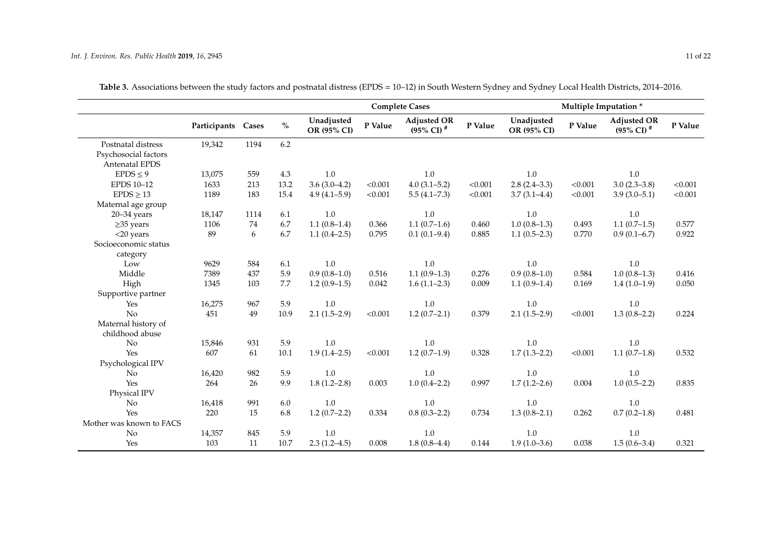|                                        |                    |      |                                    |                           |         | <b>Complete Cases</b>                       |         | Multiple Imputation *     |         |                                             |         |
|----------------------------------------|--------------------|------|------------------------------------|---------------------------|---------|---------------------------------------------|---------|---------------------------|---------|---------------------------------------------|---------|
|                                        | Participants Cases |      | $\mathbf{0}_{\mathbf{0}}^{\prime}$ | Unadjusted<br>OR (95% CI) | P Value | <b>Adjusted OR</b><br>(95% CI) <sup>#</sup> | P Value | Unadjusted<br>OR (95% CI) | P Value | <b>Adjusted OR</b><br>(95% CI) <sup>#</sup> | P Value |
| Postnatal distress                     | 19,342             | 1194 | 6.2                                |                           |         |                                             |         |                           |         |                                             |         |
| Psychosocial factors<br>Antenatal EPDS |                    |      |                                    |                           |         |                                             |         |                           |         |                                             |         |
| $EPDS \leq 9$                          | 13,075             | 559  | 4.3                                | 1.0                       |         | 1.0                                         |         | 1.0                       |         | 1.0                                         |         |
| <b>EPDS 10-12</b>                      | 1633               | 213  | 13.2                               | $3.6(3.0-4.2)$            | < 0.001 | $4.0(3.1 - 5.2)$                            | < 0.001 | $2.8(2.4-3.3)$            | < 0.001 | $3.0(2.3 - 3.8)$                            | < 0.001 |
| $EPDS \geq 13$                         | 1189               | 183  | 15.4                               | $4.9(4.1 - 5.9)$          | < 0.001 | $5.5(4.1 - 7.3)$                            | < 0.001 | $3.7(3.1-4.4)$            | < 0.001 | $3.9(3.0 - 5.1)$                            | < 0.001 |
| Maternal age group                     |                    |      |                                    |                           |         |                                             |         |                           |         |                                             |         |
| $20 - 34$ years                        | 18,147             | 1114 | 6.1                                | 1.0                       |         | 1.0                                         |         | 1.0                       |         | 1.0                                         |         |
| $\geq$ 35 years                        | 1106               | 74   | 6.7                                | $1.1(0.8-1.4)$            | 0.366   | $1.1(0.7-1.6)$                              | 0.460   | $1.0(0.8-1.3)$            | 0.493   | $1.1(0.7-1.5)$                              | 0.577   |
| $<$ 20 years                           | 89                 | 6    | 6.7                                | $1.1(0.4-2.5)$            | 0.795   | $0.1(0.1-9.4)$                              | 0.885   | $1.1(0.5-2.3)$            | 0.770   | $0.9(0.1-6.7)$                              | 0.922   |
| Socioeconomic status                   |                    |      |                                    |                           |         |                                             |         |                           |         |                                             |         |
| category                               |                    |      |                                    |                           |         |                                             |         |                           |         |                                             |         |
| Low                                    | 9629               | 584  | 6.1                                | 1.0                       |         | 1.0                                         |         | 1.0                       |         | $1.0\,$                                     |         |
| Middle                                 | 7389               | 437  | 5.9                                | $0.9(0.8-1.0)$            | 0.516   | $1.1(0.9-1.3)$                              | 0.276   | $0.9(0.8-1.0)$            | 0.584   | $1.0(0.8-1.3)$                              | 0.416   |
| High                                   | 1345               | 103  | 7.7                                | $1.2(0.9-1.5)$            | 0.042   | $1.6(1.1-2.3)$                              | 0.009   | $1.1(0.9-1.4)$            | 0.169   | $1.4(1.0-1.9)$                              | 0.050   |
| Supportive partner                     |                    |      |                                    |                           |         |                                             |         |                           |         |                                             |         |
| Yes                                    | 16,275             | 967  | 5.9                                | $1.0\,$                   |         | $1.0\,$                                     |         | $1.0\,$                   |         | $1.0\,$                                     |         |
| No                                     | 451                | 49   | 10.9                               | $2.1(1.5-2.9)$            | < 0.001 | $1.2(0.7-2.1)$                              | 0.379   | $2.1(1.5-2.9)$            | < 0.001 | $1.3(0.8-2.2)$                              | 0.224   |
| Maternal history of                    |                    |      |                                    |                           |         |                                             |         |                           |         |                                             |         |
| childhood abuse                        |                    |      |                                    |                           |         |                                             |         |                           |         |                                             |         |
| No                                     | 15,846             | 931  | 5.9                                | $1.0\,$                   |         | 1.0                                         |         | 1.0                       |         | 1.0                                         |         |
| Yes                                    | 607                | 61   | 10.1                               | $1.9(1.4 - 2.5)$          | < 0.001 | $1.2(0.7-1.9)$                              | 0.328   | $1.7(1.3-2.2)$            | < 0.001 | $1.1(0.7-1.8)$                              | 0.532   |
| Psychological IPV                      |                    |      |                                    |                           |         |                                             |         |                           |         |                                             |         |
| N <sub>o</sub>                         | 16,420             | 982  | 5.9                                | 1.0                       |         | $1.0\,$                                     |         | $1.0\,$                   |         | 1.0                                         |         |
| Yes                                    | 264                | 26   | 9.9                                | $1.8(1.2 - 2.8)$          | 0.003   | $1.0(0.4-2.2)$                              | 0.997   | $1.7(1.2-2.6)$            | 0.004   | $1.0(0.5-2.2)$                              | 0.835   |
| Physical IPV                           |                    |      |                                    |                           |         |                                             |         |                           |         |                                             |         |
| N <sub>o</sub>                         | 16,418             | 991  | 6.0                                | 1.0                       |         | $1.0\,$                                     |         | $1.0\,$                   |         | 1.0                                         |         |
| Yes                                    | 220                | 15   | 6.8                                | $1.2(0.7-2.2)$            | 0.334   | $0.8(0.3-2.2)$                              | 0.734   | $1.3(0.8-2.1)$            | 0.262   | $0.7(0.2-1.8)$                              | 0.481   |
| Mother was known to FACS               |                    |      |                                    |                           |         |                                             |         |                           |         |                                             |         |
| N <sub>o</sub>                         | 14,357             | 845  | 5.9                                | 1.0                       |         | 1.0                                         |         | 1.0                       |         | 1.0                                         |         |
| Yes                                    | 103                | 11   | 10.7                               | $2.3(1.2-4.5)$            | 0.008   | $1.8(0.8-4.4)$                              | 0.144   | $1.9(1.0-3.6)$            | 0.038   | $1.5(0.6-3.4)$                              | 0.321   |
|                                        |                    |      |                                    |                           |         |                                             |         |                           |         |                                             |         |

**Table 3.** Associations between the study factors and postnatal distress (EPDS = 10–12) in South Western Sydney and Sydney Local Health Districts, 2014–2016.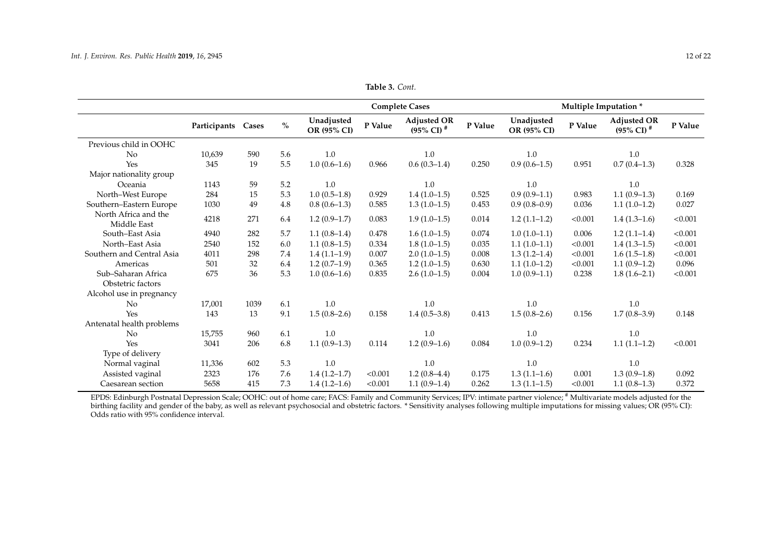|         |         |                           | <b>Multiple Imputation</b> * |                          |         |
|---------|---------|---------------------------|------------------------------|--------------------------|---------|
| ЭR<br># | P Value | Unadjusted<br>OR (95% CI) | P Value                      | Adjusted OR (95% CI) $*$ | P Value |

**Table 3.** *Cont.*

|                                     |              |       |      |                           |         | <b>Complete Cases</b>                                  |         |                           | <b>Multiple Imputation</b> * |                                             |         |
|-------------------------------------|--------------|-------|------|---------------------------|---------|--------------------------------------------------------|---------|---------------------------|------------------------------|---------------------------------------------|---------|
|                                     | Participants | Cases | $\%$ | Unadjusted<br>OR (95% CI) | P Value | <b>Adjusted OR</b><br>$(95\% \text{ CI})$ <sup>#</sup> | P Value | Unadjusted<br>OR (95% CI) | P Value                      | <b>Adjusted OR</b><br>(95% CI) <sup>#</sup> | P Value |
| Previous child in OOHC              |              |       |      |                           |         |                                                        |         |                           |                              |                                             |         |
| N <sub>o</sub>                      | 10,639       | 590   | 5.6  | 1.0                       |         | 1.0                                                    |         | 1.0                       |                              | 1.0                                         |         |
| Yes                                 | 345          | 19    | 5.5  | $1.0(0.6-1.6)$            | 0.966   | $0.6(0.3-1.4)$                                         | 0.250   | $0.9(0.6-1.5)$            | 0.951                        | $0.7(0.4-1.3)$                              | 0.328   |
| Major nationality group             |              |       |      |                           |         |                                                        |         |                           |                              |                                             |         |
| Oceania                             | 1143         | 59    | 5.2  | 1.0                       |         | 1.0                                                    |         | 1.0                       |                              | 1.0                                         |         |
| North-West Europe                   | 284          | 15    | 5.3  | $1.0(0.5-1.8)$            | 0.929   | $1.4(1.0-1.5)$                                         | 0.525   | $0.9(0.9-1.1)$            | 0.983                        | $1.1(0.9-1.3)$                              | 0.169   |
| Southern-Eastern Europe             | 1030         | 49    | 4.8  | $0.8(0.6-1.3)$            | 0.585   | $1.3(1.0-1.5)$                                         | 0.453   | $0.9(0.8-0.9)$            | 0.036                        | $1.1(1.0-1.2)$                              | 0.027   |
| North Africa and the<br>Middle East | 4218         | 271   | 6.4  | $1.2(0.9-1.7)$            | 0.083   | $1.9(1.0-1.5)$                                         | 0.014   | $1.2(1.1-1.2)$            | < 0.001                      | $1.4(1.3-1.6)$                              | < 0.001 |
| South-East Asia                     | 4940         | 282   | 5.7  | $1.1(0.8-1.4)$            | 0.478   | $1.6(1.0-1.5)$                                         | 0.074   | $1.0(1.0-1.1)$            | 0.006                        | $1.2(1.1-1.4)$                              | < 0.001 |
| North-East Asia                     | 2540         | 152   | 6.0  | $1.1(0.8-1.5)$            | 0.334   | $1.8(1.0-1.5)$                                         | 0.035   | $1.1(1.0-1.1)$            | < 0.001                      | $1.4(1.3-1.5)$                              | < 0.001 |
| Southern and Central Asia           | 4011         | 298   | 7.4  | $1.4(1.1-1.9)$            | 0.007   | $2.0(1.0-1.5)$                                         | 0.008   | $1.3(1.2-1.4)$            | < 0.001                      | $1.6(1.5-1.8)$                              | < 0.001 |
| Americas                            | 501          | 32    | 6.4  | $1.2(0.7-1.9)$            | 0.365   | $1.2(1.0-1.5)$                                         | 0.630   | $1.1(1.0-1.2)$            | < 0.001                      | $1.1(0.9-1.2)$                              | 0.096   |
| Sub-Saharan Africa                  | 675          | 36    | 5.3  | $1.0(0.6-1.6)$            | 0.835   | $2.6(1.0-1.5)$                                         | 0.004   | $1.0(0.9-1.1)$            | 0.238                        | $1.8(1.6-2.1)$                              | < 0.001 |
| Obstetric factors                   |              |       |      |                           |         |                                                        |         |                           |                              |                                             |         |
| Alcohol use in pregnancy            |              |       |      |                           |         |                                                        |         |                           |                              |                                             |         |
| N <sub>o</sub>                      | 17,001       | 1039  | 6.1  | 1.0                       |         | 1.0                                                    |         | 1.0                       |                              | 1.0                                         |         |
| Yes                                 | 143          | 13    | 9.1  | $1.5(0.8-2.6)$            | 0.158   | $1.4(0.5-3.8)$                                         | 0.413   | $1.5(0.8-2.6)$            | 0.156                        | $1.7(0.8-3.9)$                              | 0.148   |
| Antenatal health problems           |              |       |      |                           |         |                                                        |         |                           |                              |                                             |         |
| N <sub>o</sub>                      | 15,755       | 960   | 6.1  | $1.0\,$                   |         | 1.0                                                    |         | 1.0                       |                              | 1.0                                         |         |
| Yes                                 | 3041         | 206   | 6.8  | $1.1(0.9-1.3)$            | 0.114   | $1.2(0.9-1.6)$                                         | 0.084   | $1.0(0.9-1.2)$            | 0.234                        | $1.1(1.1-1.2)$                              | < 0.001 |
| Type of delivery                    |              |       |      |                           |         |                                                        |         |                           |                              |                                             |         |
| Normal vaginal                      | 11,336       | 602   | 5.3  | $1.0\,$                   |         | 1.0                                                    |         | 1.0                       |                              | 1.0                                         |         |
| Assisted vaginal                    | 2323         | 176   | 7.6  | $1.4(1.2-1.7)$            | < 0.001 | $1.2(0.8-4.4)$                                         | 0.175   | $1.3(1.1-1.6)$            | 0.001                        | $1.3(0.9-1.8)$                              | 0.092   |
| Caesarean section                   | 5658         | 415   | 7.3  | $1.4(1.2-1.6)$            | < 0.001 | $1.1(0.9-1.4)$                                         | 0.262   | $1.3(1.1-1.5)$            | < 0.001                      | $1.1(0.8-1.3)$                              | 0.372   |

<span id="page-11-0"></span>EPDS: Edinburgh Postnatal Depression Scale; OOHC: out of home care; FACS: Family and Community Services; IPV: intimate partner violence; # Multivariate models adjusted for the birthing facility and gender of the baby, as well as relevant psychosocial and obstetric factors. \* Sensitivity analyses following multiple imputations for missing values; OR (95% CI): Odds ratio with 95% confidence interval.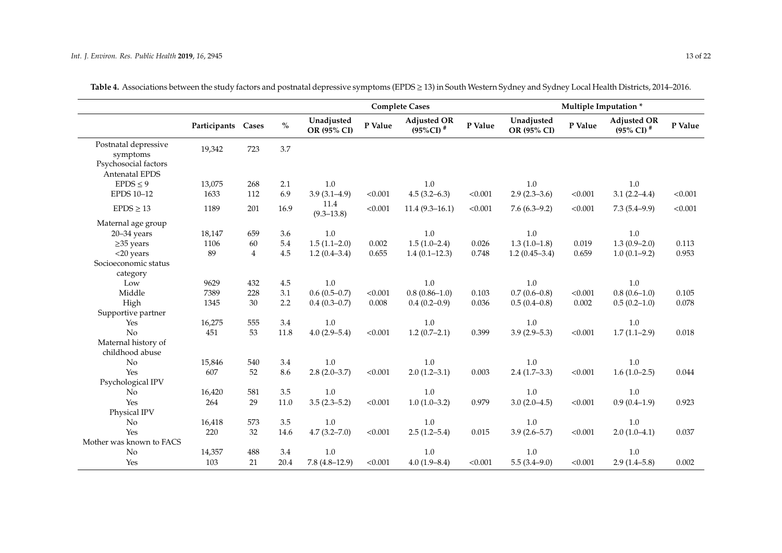|                                                          |              |                |                                    |                           |         | <b>Complete Cases</b>                      |         |                           | Multiple Imputation * |                                             |         |  |
|----------------------------------------------------------|--------------|----------------|------------------------------------|---------------------------|---------|--------------------------------------------|---------|---------------------------|-----------------------|---------------------------------------------|---------|--|
|                                                          | Participants | Cases          | $\mathbf{O}_{\mathbf{O}}^{\prime}$ | Unadjusted<br>OR (95% CI) | P Value | <b>Adjusted OR</b><br>(95%CI) <sup>#</sup> | P Value | Unadjusted<br>OR (95% CI) | P Value               | <b>Adjusted OR</b><br>$(95\% \text{ CI})$ # | P Value |  |
| Postnatal depressive<br>symptoms<br>Psychosocial factors | 19,342       | 723            | 3.7                                |                           |         |                                            |         |                           |                       |                                             |         |  |
| <b>Antenatal EPDS</b>                                    |              |                |                                    |                           |         |                                            |         |                           |                       |                                             |         |  |
| $EPDS \leq 9$                                            | 13,075       | 268            | 2.1                                | $1.0\,$                   |         | 1.0                                        |         | $1.0\,$                   |                       | 1.0                                         |         |  |
| EPDS 10-12                                               | 1633         | 112            | 6.9                                | $3.9(3.1-4.9)$            | < 0.001 | $4.5(3.2-6.3)$                             | < 0.001 | $2.9(2.3 - 3.6)$          | < 0.001               | $3.1(2.2 - 4.4)$                            | < 0.001 |  |
| $EPDS \geq 13$                                           | 1189         | 201            | 16.9                               | 11.4<br>$(9.3 - 13.8)$    | < 0.001 | $11.4(9.3-16.1)$                           | < 0.001 | $7.6(6.3-9.2)$            | < 0.001               | $7.3(5.4-9.9)$                              | < 0.001 |  |
| Maternal age group                                       |              |                |                                    |                           |         |                                            |         |                           |                       |                                             |         |  |
| $20 - 34$ years                                          | 18,147       | 659            | 3.6                                | $1.0\,$                   |         | 1.0                                        |         | $1.0\,$                   |                       | 1.0                                         |         |  |
| $\geq$ 35 years                                          | 1106         | 60             | 5.4                                | $1.5(1.1-2.0)$            | 0.002   | $1.5(1.0-2.4)$                             | 0.026   | $1.3(1.0-1.8)$            | 0.019                 | $1.3(0.9-2.0)$                              | 0.113   |  |
| <20 years                                                | 89           | $\overline{4}$ | 4.5                                | $1.2(0.4 - 3.4)$          | 0.655   | $1.4(0.1 - 12.3)$                          | 0.748   | $1.2(0.45-3.4)$           | 0.659                 | $1.0(0.1-9.2)$                              | 0.953   |  |
| Socioeconomic status                                     |              |                |                                    |                           |         |                                            |         |                           |                       |                                             |         |  |
| category                                                 |              |                |                                    |                           |         |                                            |         |                           |                       |                                             |         |  |
| Low                                                      | 9629         | 432            | 4.5                                | $1.0\,$                   |         | 1.0                                        |         | $1.0\,$                   |                       | 1.0                                         |         |  |
| Middle                                                   | 7389         | 228            | 3.1                                | $0.6(0.5-0.7)$            | < 0.001 | $0.8(0.86-1.0)$                            | 0.103   | $0.7(0.6-0.8)$            | < 0.001               | $0.8(0.6-1.0)$                              | 0.105   |  |
| High                                                     | 1345         | 30             | 2.2                                | $0.4(0.3-0.7)$            | 0.008   | $0.4(0.2-0.9)$                             | 0.036   | $0.5(0.4-0.8)$            | 0.002                 | $0.5(0.2-1.0)$                              | 0.078   |  |
| Supportive partner                                       |              |                |                                    |                           |         |                                            |         |                           |                       |                                             |         |  |
| Yes                                                      | 16,275       | 555            | 3.4                                | 1.0                       |         | 1.0                                        |         | 1.0                       |                       | 1.0                                         |         |  |
| No                                                       | 451          | 53             | 11.8                               | $4.0(2.9 - 5.4)$          | < 0.001 | $1.2(0.7-2.1)$                             | 0.399   | $3.9(2.9 - 5.3)$          | < 0.001               | $1.7(1.1-2.9)$                              | 0.018   |  |
| Maternal history of<br>childhood abuse                   |              |                |                                    |                           |         |                                            |         |                           |                       |                                             |         |  |
| No                                                       | 15,846       | 540            | 3.4                                | $1.0\,$                   |         | 1.0                                        |         | $1.0\,$                   |                       | 1.0                                         |         |  |
| Yes                                                      | 607          | 52             | 8.6                                | $2.8(2.0-3.7)$            | < 0.001 | $2.0(1.2 - 3.1)$                           | 0.003   | $2.4(1.7-3.3)$            | < 0.001               | $1.6(1.0-2.5)$                              | 0.044   |  |
| Psychological IPV                                        |              |                |                                    |                           |         |                                            |         |                           |                       |                                             |         |  |
| No                                                       | 16,420       | 581            | 3.5                                | $1.0\,$                   |         | 1.0                                        |         | $1.0\,$                   |                       | 1.0                                         |         |  |
| Yes                                                      | 264          | 29             | 11.0                               | $3.5(2.3 - 5.2)$          | < 0.001 | $1.0(1.0-3.2)$                             | 0.979   | $3.0(2.0-4.5)$            | < 0.001               | $0.9(0.4-1.9)$                              | 0.923   |  |
| Physical IPV                                             |              |                |                                    |                           |         |                                            |         |                           |                       |                                             |         |  |
| No                                                       | 16,418       | 573            | 3.5                                | 1.0                       |         | 1.0                                        |         | $1.0\,$                   |                       | 1.0                                         |         |  |
| Yes                                                      | 220          | 32             | 14.6                               | $4.7(3.2 - 7.0)$          | < 0.001 | $2.5(1.2 - 5.4)$                           | 0.015   | $3.9(2.6 - 5.7)$          | < 0.001               | $2.0(1.0-4.1)$                              | 0.037   |  |
| Mother was known to FACS                                 |              |                |                                    |                           |         |                                            |         |                           |                       |                                             |         |  |
| No                                                       | 14,357       | 488            | 3.4                                | 1.0                       |         | 1.0                                        |         | $1.0\,$                   |                       | 1.0                                         |         |  |
| Yes                                                      | 103          | 21             | 20.4                               | $7.8(4.8-12.9)$           | < 0.001 | $4.0(1.9 - 8.4)$                           | < 0.001 | $5.5(3.4 - 9.0)$          | < 0.001               | $2.9(1.4 - 5.8)$                            | 0.002   |  |

**Table 4.** Associations between the study factors and postnatal depressive symptoms (EPDS ≥ 13) in South Western Sydney and Sydney Local Health Districts, 2014–2016.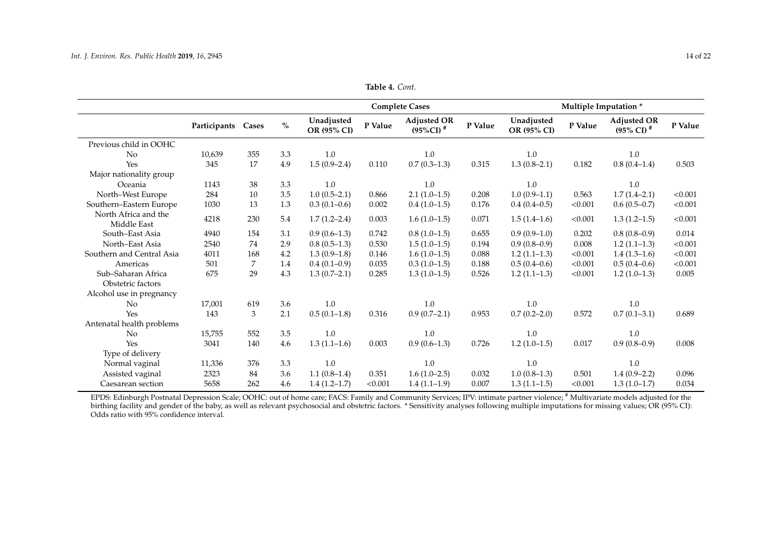| ases                  |         |                           | <b>Multiple Imputation</b> * |                          |         |
|-----------------------|---------|---------------------------|------------------------------|--------------------------|---------|
| justed OR<br>95%CI) # | P Value | Unadjusted<br>OR (95% CI) | P Value                      | Adjusted OR (95% CI) $*$ | P Value |
|                       |         |                           |                              |                          |         |

|                                     |                    |     |                                    |                           |         | <b>Complete Cases</b>                         |         |                           | <b>Multiple Imputation</b> * |                                                        |         |
|-------------------------------------|--------------------|-----|------------------------------------|---------------------------|---------|-----------------------------------------------|---------|---------------------------|------------------------------|--------------------------------------------------------|---------|
|                                     | Participants Cases |     | $\mathbf{0}_{\mathbf{0}}^{\prime}$ | Unadjusted<br>OR (95% CI) | P Value | <b>Adjusted OR</b><br>$(95\%CI)$ <sup>#</sup> | P Value | Unadjusted<br>OR (95% CI) | P Value                      | <b>Adjusted OR</b><br>$(95\% \text{ CI})$ <sup>#</sup> | P Value |
| Previous child in OOHC              |                    |     |                                    |                           |         |                                               |         |                           |                              |                                                        |         |
| N <sub>0</sub>                      | 10,639             | 355 | 3.3                                | 1.0                       |         | 1.0                                           |         | 1.0                       |                              | 1.0                                                    |         |
| Yes                                 | 345                | 17  | 4.9                                | $1.5(0.9-2.4)$            | 0.110   | $0.7(0.3-1.3)$                                | 0.315   | $1.3(0.8-2.1)$            | 0.182                        | $0.8(0.4-1.4)$                                         | 0.503   |
| Major nationality group             |                    |     |                                    |                           |         |                                               |         |                           |                              |                                                        |         |
| Oceania                             | 1143               | 38  | 3.3                                | 1.0                       |         | 1.0                                           |         | 1.0                       |                              | 1.0                                                    |         |
| North-West Europe                   | 284                | 10  | 3.5                                | $1.0(0.5-2.1)$            | 0.866   | $2.1(1.0-1.5)$                                | 0.208   | $1.0(0.9-1.1)$            | 0.563                        | $1.7(1.4-2.1)$                                         | < 0.001 |
| Southern-Eastern Europe             | 1030               | 13  | 1.3                                | $0.3(0.1-0.6)$            | 0.002   | $0.4(1.0-1.5)$                                | 0.176   | $0.4(0.4-0.5)$            | < 0.001                      | $0.6(0.5-0.7)$                                         | < 0.001 |
| North Africa and the<br>Middle East | 4218               | 230 | 5.4                                | $1.7(1.2 - 2.4)$          | 0.003   | $1.6(1.0-1.5)$                                | 0.071   | $1.5(1.4-1.6)$            | < 0.001                      | $1.3(1.2-1.5)$                                         | < 0.001 |
| South-East Asia                     | 4940               | 154 | 3.1                                | $0.9(0.6-1.3)$            | 0.742   | $0.8(1.0-1.5)$                                | 0.655   | $0.9(0.9-1.0)$            | 0.202                        | $0.8(0.8-0.9)$                                         | 0.014   |
| North-East Asia                     | 2540               | 74  | 2.9                                | $0.8(0.5-1.3)$            | 0.530   | $1.5(1.0-1.5)$                                | 0.194   | $0.9(0.8-0.9)$            | 0.008                        | $1.2(1.1-1.3)$                                         | < 0.001 |
| Southern and Central Asia           | 4011               | 168 | 4.2                                | $1.3(0.9-1.8)$            | 0.146   | $1.6(1.0-1.5)$                                | 0.088   | $1.2(1.1-1.3)$            | < 0.001                      | $1.4(1.3-1.6)$                                         | < 0.001 |
| Americas                            | 501                | 7   | 1.4                                | $0.4(0.1-0.9)$            | 0.035   | $0.3(1.0-1.5)$                                | 0.188   | $0.5(0.4-0.6)$            | < 0.001                      | $0.5(0.4-0.6)$                                         | < 0.001 |
| Sub-Saharan Africa                  | 675                | 29  | 4.3                                | $1.3(0.7-2.1)$            | 0.285   | $1.3(1.0-1.5)$                                | 0.526   | $1.2(1.1-1.3)$            | < 0.001                      | $1.2(1.0-1.3)$                                         | 0.005   |
| Obstetric factors                   |                    |     |                                    |                           |         |                                               |         |                           |                              |                                                        |         |
| Alcohol use in pregnancy            |                    |     |                                    |                           |         |                                               |         |                           |                              |                                                        |         |
| N <sub>0</sub>                      | 17,001             | 619 | 3.6                                | 1.0                       |         | 1.0                                           |         | 1.0                       |                              | 1.0                                                    |         |
| Yes                                 | 143                | 3   | 2.1                                | $0.5(0.1-1.8)$            | 0.316   | $0.9(0.7-2.1)$                                | 0.953   | $0.7(0.2 - 2.0)$          | 0.572                        | $0.7(0.1-3.1)$                                         | 0.689   |
| Antenatal health problems           |                    |     |                                    |                           |         |                                               |         |                           |                              |                                                        |         |
| N <sub>0</sub>                      | 15,755             | 552 | 3.5                                | 1.0                       |         | 1.0                                           |         | 1.0                       |                              | 1.0                                                    |         |
| Yes                                 | 3041               | 140 | 4.6                                | $1.3(1.1-1.6)$            | 0.003   | $0.9(0.6-1.3)$                                | 0.726   | $1.2(1.0-1.5)$            | 0.017                        | $0.9(0.8-0.9)$                                         | 0.008   |
| Type of delivery                    |                    |     |                                    |                           |         |                                               |         |                           |                              |                                                        |         |
| Normal vaginal                      | 11,336             | 376 | 3.3                                | 1.0                       |         | 1.0                                           |         | 1.0                       |                              | 1.0                                                    |         |
| Assisted vaginal                    | 2323               | 84  | 3.6                                | $1.1(0.8-1.4)$            | 0.351   | $1.6(1.0-2.5)$                                | 0.032   | $1.0(0.8-1.3)$            | 0.501                        | $1.4(0.9-2.2)$                                         | 0.096   |
| Caesarean section                   | 5658               | 262 | 4.6                                | $1.4(1.2-1.7)$            | < 0.001 | $1.4(1.1-1.9)$                                | 0.007   | $1.3(1.1-1.5)$            | < 0.001                      | $1.3(1.0-1.7)$                                         | 0.034   |

<span id="page-13-0"></span>EPDS: Edinburgh Postnatal Depression Scale; OOHC: out of home care; FACS: Family and Community Services; IPV: intimate partner violence; # Multivariate models adjusted for the birthing facility and gender of the baby, as well as relevant psychosocial and obstetric factors. \* Sensitivity analyses following multiple imputations for missing values; OR (95% CI): Odds ratio with 95% confidence interval.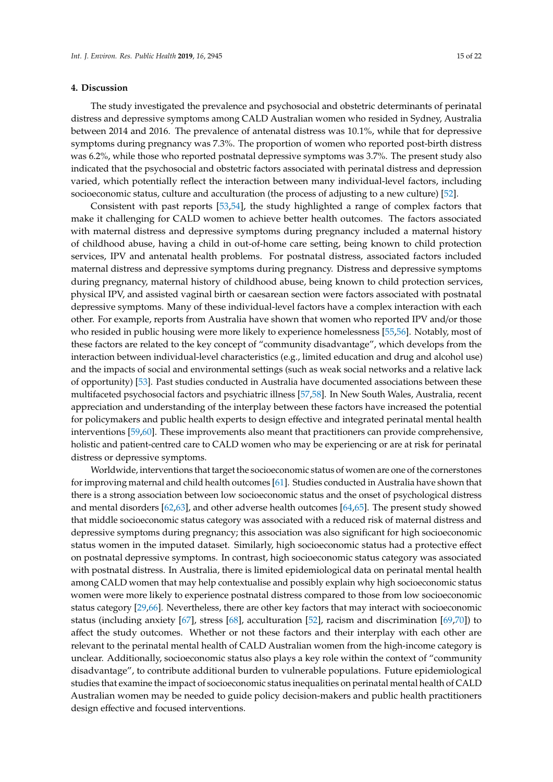## **4. Discussion**

The study investigated the prevalence and psychosocial and obstetric determinants of perinatal distress and depressive symptoms among CALD Australian women who resided in Sydney, Australia between 2014 and 2016. The prevalence of antenatal distress was 10.1%, while that for depressive symptoms during pregnancy was 7.3%. The proportion of women who reported post-birth distress was 6.2%, while those who reported postnatal depressive symptoms was 3.7%. The present study also indicated that the psychosocial and obstetric factors associated with perinatal distress and depression varied, which potentially reflect the interaction between many individual-level factors, including socioeconomic status, culture and acculturation (the process of adjusting to a new culture) [\[52\]](#page-20-0).

Consistent with past reports [\[53](#page-20-1)[,54\]](#page-20-2), the study highlighted a range of complex factors that make it challenging for CALD women to achieve better health outcomes. The factors associated with maternal distress and depressive symptoms during pregnancy included a maternal history of childhood abuse, having a child in out-of-home care setting, being known to child protection services, IPV and antenatal health problems. For postnatal distress, associated factors included maternal distress and depressive symptoms during pregnancy. Distress and depressive symptoms during pregnancy, maternal history of childhood abuse, being known to child protection services, physical IPV, and assisted vaginal birth or caesarean section were factors associated with postnatal depressive symptoms. Many of these individual-level factors have a complex interaction with each other. For example, reports from Australia have shown that women who reported IPV and/or those who resided in public housing were more likely to experience homelessness [\[55,](#page-20-3)[56\]](#page-20-4). Notably, most of these factors are related to the key concept of "community disadvantage", which develops from the interaction between individual-level characteristics (e.g., limited education and drug and alcohol use) and the impacts of social and environmental settings (such as weak social networks and a relative lack of opportunity) [\[53\]](#page-20-1). Past studies conducted in Australia have documented associations between these multifaceted psychosocial factors and psychiatric illness [\[57,](#page-20-5)[58\]](#page-20-6). In New South Wales, Australia, recent appreciation and understanding of the interplay between these factors have increased the potential for policymakers and public health experts to design effective and integrated perinatal mental health interventions [\[59](#page-20-7)[,60\]](#page-20-8). These improvements also meant that practitioners can provide comprehensive, holistic and patient-centred care to CALD women who may be experiencing or are at risk for perinatal distress or depressive symptoms.

Worldwide, interventions that target the socioeconomic status of women are one of the cornerstones for improving maternal and child health outcomes [\[61\]](#page-20-9). Studies conducted in Australia have shown that there is a strong association between low socioeconomic status and the onset of psychological distress and mental disorders [\[62,](#page-20-10)[63\]](#page-20-11), and other adverse health outcomes [\[64](#page-20-12)[,65\]](#page-20-13). The present study showed that middle socioeconomic status category was associated with a reduced risk of maternal distress and depressive symptoms during pregnancy; this association was also significant for high socioeconomic status women in the imputed dataset. Similarly, high socioeconomic status had a protective effect on postnatal depressive symptoms. In contrast, high socioeconomic status category was associated with postnatal distress. In Australia, there is limited epidemiological data on perinatal mental health among CALD women that may help contextualise and possibly explain why high socioeconomic status women were more likely to experience postnatal distress compared to those from low socioeconomic status category [\[29,](#page-18-17)[66\]](#page-20-14). Nevertheless, there are other key factors that may interact with socioeconomic status (including anxiety [\[67\]](#page-20-15), stress [\[68\]](#page-20-16), acculturation [\[52\]](#page-20-0), racism and discrimination [\[69](#page-20-17)[,70\]](#page-20-18)) to affect the study outcomes. Whether or not these factors and their interplay with each other are relevant to the perinatal mental health of CALD Australian women from the high-income category is unclear. Additionally, socioeconomic status also plays a key role within the context of "community disadvantage", to contribute additional burden to vulnerable populations. Future epidemiological studies that examine the impact of socioeconomic status inequalities on perinatal mental health of CALD Australian women may be needed to guide policy decision-makers and public health practitioners design effective and focused interventions.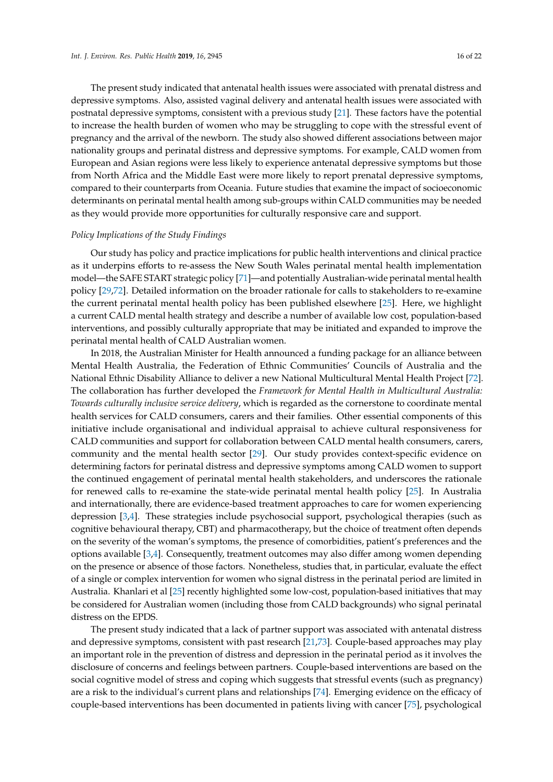The present study indicated that antenatal health issues were associated with prenatal distress and depressive symptoms. Also, assisted vaginal delivery and antenatal health issues were associated with postnatal depressive symptoms, consistent with a previous study [\[21\]](#page-18-9). These factors have the potential to increase the health burden of women who may be struggling to cope with the stressful event of pregnancy and the arrival of the newborn. The study also showed different associations between major nationality groups and perinatal distress and depressive symptoms. For example, CALD women from European and Asian regions were less likely to experience antenatal depressive symptoms but those from North Africa and the Middle East were more likely to report prenatal depressive symptoms, compared to their counterparts from Oceania. Future studies that examine the impact of socioeconomic determinants on perinatal mental health among sub-groups within CALD communities may be needed as they would provide more opportunities for culturally responsive care and support.

# *Policy Implications of the Study Findings*

Our study has policy and practice implications for public health interventions and clinical practice as it underpins efforts to re-assess the New South Wales perinatal mental health implementation model—the SAFE START strategic policy [\[71\]](#page-20-19)—and potentially Australian-wide perinatal mental health policy [\[29](#page-18-17)[,72\]](#page-21-0). Detailed information on the broader rationale for calls to stakeholders to re-examine the current perinatal mental health policy has been published elsewhere [\[25\]](#page-18-13). Here, we highlight a current CALD mental health strategy and describe a number of available low cost, population-based interventions, and possibly culturally appropriate that may be initiated and expanded to improve the perinatal mental health of CALD Australian women.

In 2018, the Australian Minister for Health announced a funding package for an alliance between Mental Health Australia, the Federation of Ethnic Communities' Councils of Australia and the National Ethnic Disability Alliance to deliver a new National Multicultural Mental Health Project [\[72\]](#page-21-0). The collaboration has further developed the *Framework for Mental Health in Multicultural Australia: Towards culturally inclusive service delivery*, which is regarded as the cornerstone to coordinate mental health services for CALD consumers, carers and their families. Other essential components of this initiative include organisational and individual appraisal to achieve cultural responsiveness for CALD communities and support for collaboration between CALD mental health consumers, carers, community and the mental health sector [\[29\]](#page-18-17). Our study provides context-specific evidence on determining factors for perinatal distress and depressive symptoms among CALD women to support the continued engagement of perinatal mental health stakeholders, and underscores the rationale for renewed calls to re-examine the state-wide perinatal mental health policy [\[25\]](#page-18-13). In Australia and internationally, there are evidence-based treatment approaches to care for women experiencing depression [\[3,](#page-17-4)[4\]](#page-17-8). These strategies include psychosocial support, psychological therapies (such as cognitive behavioural therapy, CBT) and pharmacotherapy, but the choice of treatment often depends on the severity of the woman's symptoms, the presence of comorbidities, patient's preferences and the options available [\[3](#page-17-4)[,4\]](#page-17-8). Consequently, treatment outcomes may also differ among women depending on the presence or absence of those factors. Nonetheless, studies that, in particular, evaluate the effect of a single or complex intervention for women who signal distress in the perinatal period are limited in Australia. Khanlari et al [\[25\]](#page-18-13) recently highlighted some low-cost, population-based initiatives that may be considered for Australian women (including those from CALD backgrounds) who signal perinatal distress on the EPDS.

The present study indicated that a lack of partner support was associated with antenatal distress and depressive symptoms, consistent with past research [\[21,](#page-18-9)[73\]](#page-21-1). Couple-based approaches may play an important role in the prevention of distress and depression in the perinatal period as it involves the disclosure of concerns and feelings between partners. Couple-based interventions are based on the social cognitive model of stress and coping which suggests that stressful events (such as pregnancy) are a risk to the individual's current plans and relationships [\[74\]](#page-21-2). Emerging evidence on the efficacy of couple-based interventions has been documented in patients living with cancer [\[75\]](#page-21-3), psychological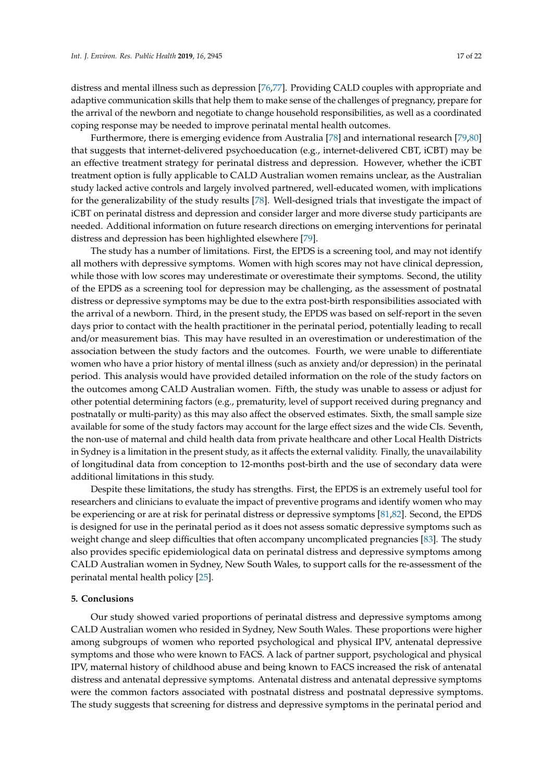distress and mental illness such as depression [\[76](#page-21-4)[,77\]](#page-21-5). Providing CALD couples with appropriate and adaptive communication skills that help them to make sense of the challenges of pregnancy, prepare for the arrival of the newborn and negotiate to change household responsibilities, as well as a coordinated coping response may be needed to improve perinatal mental health outcomes.

Furthermore, there is emerging evidence from Australia [\[78\]](#page-21-6) and international research [\[79](#page-21-7)[,80\]](#page-21-8) that suggests that internet-delivered psychoeducation (e.g., internet-delivered CBT, iCBT) may be an effective treatment strategy for perinatal distress and depression. However, whether the iCBT treatment option is fully applicable to CALD Australian women remains unclear, as the Australian study lacked active controls and largely involved partnered, well-educated women, with implications for the generalizability of the study results [\[78\]](#page-21-6). Well-designed trials that investigate the impact of iCBT on perinatal distress and depression and consider larger and more diverse study participants are needed. Additional information on future research directions on emerging interventions for perinatal distress and depression has been highlighted elsewhere [\[79\]](#page-21-7).

The study has a number of limitations. First, the EPDS is a screening tool, and may not identify all mothers with depressive symptoms. Women with high scores may not have clinical depression, while those with low scores may underestimate or overestimate their symptoms. Second, the utility of the EPDS as a screening tool for depression may be challenging, as the assessment of postnatal distress or depressive symptoms may be due to the extra post-birth responsibilities associated with the arrival of a newborn. Third, in the present study, the EPDS was based on self-report in the seven days prior to contact with the health practitioner in the perinatal period, potentially leading to recall and/or measurement bias. This may have resulted in an overestimation or underestimation of the association between the study factors and the outcomes. Fourth, we were unable to differentiate women who have a prior history of mental illness (such as anxiety and/or depression) in the perinatal period. This analysis would have provided detailed information on the role of the study factors on the outcomes among CALD Australian women. Fifth, the study was unable to assess or adjust for other potential determining factors (e.g., prematurity, level of support received during pregnancy and postnatally or multi-parity) as this may also affect the observed estimates. Sixth, the small sample size available for some of the study factors may account for the large effect sizes and the wide CIs. Seventh, the non-use of maternal and child health data from private healthcare and other Local Health Districts in Sydney is a limitation in the present study, as it affects the external validity. Finally, the unavailability of longitudinal data from conception to 12-months post-birth and the use of secondary data were additional limitations in this study.

Despite these limitations, the study has strengths. First, the EPDS is an extremely useful tool for researchers and clinicians to evaluate the impact of preventive programs and identify women who may be experiencing or are at risk for perinatal distress or depressive symptoms [\[81,](#page-21-9)[82\]](#page-21-10). Second, the EPDS is designed for use in the perinatal period as it does not assess somatic depressive symptoms such as weight change and sleep difficulties that often accompany uncomplicated pregnancies [\[83\]](#page-21-11). The study also provides specific epidemiological data on perinatal distress and depressive symptoms among CALD Australian women in Sydney, New South Wales, to support calls for the re-assessment of the perinatal mental health policy [\[25\]](#page-18-13).

#### **5. Conclusions**

Our study showed varied proportions of perinatal distress and depressive symptoms among CALD Australian women who resided in Sydney, New South Wales. These proportions were higher among subgroups of women who reported psychological and physical IPV, antenatal depressive symptoms and those who were known to FACS. A lack of partner support, psychological and physical IPV, maternal history of childhood abuse and being known to FACS increased the risk of antenatal distress and antenatal depressive symptoms. Antenatal distress and antenatal depressive symptoms were the common factors associated with postnatal distress and postnatal depressive symptoms. The study suggests that screening for distress and depressive symptoms in the perinatal period and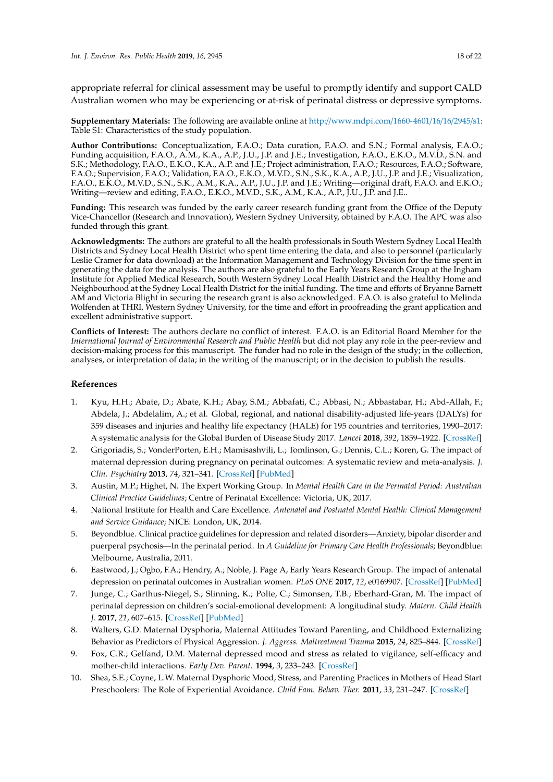appropriate referral for clinical assessment may be useful to promptly identify and support CALD Australian women who may be experiencing or at-risk of perinatal distress or depressive symptoms.

**Supplementary Materials:** The following are available online at http://[www.mdpi.com](http://www.mdpi.com/1660-4601/16/16/2945/s1)/1660-4601/16/16/2945/s1: Table S1: Characteristics of the study population.

**Author Contributions:** Conceptualization, F.A.O.; Data curation, F.A.O. and S.N.; Formal analysis, F.A.O.; Funding acquisition, F.A.O., A.M., K.A., A.P., J.U., J.P. and J.E.; Investigation, F.A.O., E.K.O., M.V.D., S.N. and S.K.; Methodology, F.A.O., E.K.O., K.A., A.P. and J.E.; Project administration, F.A.O.; Resources, F.A.O.; Software, F.A.O.; Supervision, F.A.O.; Validation, F.A.O., E.K.O., M.V.D., S.N., S.K., K.A., A.P., J.U., J.P. and J.E.; Visualization, F.A.O., E.K.O., M.V.D., S.N., S.K., A.M., K.A., A.P., J.U., J.P. and J.E.; Writing—original draft, F.A.O. and E.K.O.; Writing—review and editing, F.A.O., E.K.O., M.V.D., S.K., A.M., K.A., A.P., J.U., J.P. and J.E..

**Funding:** This research was funded by the early career research funding grant from the Office of the Deputy Vice-Chancellor (Research and Innovation), Western Sydney University, obtained by F.A.O. The APC was also funded through this grant.

**Acknowledgments:** The authors are grateful to all the health professionals in South Western Sydney Local Health Districts and Sydney Local Health District who spent time entering the data, and also to personnel (particularly Leslie Cramer for data download) at the Information Management and Technology Division for the time spent in generating the data for the analysis. The authors are also grateful to the Early Years Research Group at the Ingham Institute for Applied Medical Research, South Western Sydney Local Health District and the Healthy Home and Neighbourhood at the Sydney Local Health District for the initial funding. The time and efforts of Bryanne Barnett AM and Victoria Blight in securing the research grant is also acknowledged. F.A.O. is also grateful to Melinda Wolfenden at THRI, Western Sydney University, for the time and effort in proofreading the grant application and excellent administrative support.

**Conflicts of Interest:** The authors declare no conflict of interest. F.A.O. is an Editorial Board Member for the *International Journal of Environmental Research and Public Health* but did not play any role in the peer-review and decision-making process for this manuscript. The funder had no role in the design of the study; in the collection, analyses, or interpretation of data; in the writing of the manuscript; or in the decision to publish the results.

## **References**

- <span id="page-17-0"></span>1. Kyu, H.H.; Abate, D.; Abate, K.H.; Abay, S.M.; Abbafati, C.; Abbasi, N.; Abbastabar, H.; Abd-Allah, F.; Abdela, J.; Abdelalim, A.; et al. Global, regional, and national disability-adjusted life-years (DALYs) for 359 diseases and injuries and healthy life expectancy (HALE) for 195 countries and territories, 1990–2017: A systematic analysis for the Global Burden of Disease Study 2017. *Lancet* **2018**, *392*, 1859–1922. [\[CrossRef\]](http://dx.doi.org/10.1016/S0140-6736(18)32335-3)
- <span id="page-17-1"></span>2. Grigoriadis, S.; VonderPorten, E.H.; Mamisashvili, L.; Tomlinson, G.; Dennis, C.L.; Koren, G. The impact of maternal depression during pregnancy on perinatal outcomes: A systematic review and meta-analysis. *J. Clin. Psychiatry* **2013**, *74*, 321–341. [\[CrossRef\]](http://dx.doi.org/10.4088/JCP.12r07968) [\[PubMed\]](http://www.ncbi.nlm.nih.gov/pubmed/23656857)
- <span id="page-17-4"></span>3. Austin, M.P.; Highet, N. The Expert Working Group. In *Mental Health Care in the Perinatal Period: Australian Clinical Practice Guidelines*; Centre of Perinatal Excellence: Victoria, UK, 2017.
- <span id="page-17-8"></span>4. National Institute for Health and Care Excellence. *Antenatal and Postnatal Mental Health: Clinical Management and Service Guidance*; NICE: London, UK, 2014.
- <span id="page-17-3"></span>5. Beyondblue. Clinical practice guidelines for depression and related disorders—Anxiety, bipolar disorder and puerperal psychosis—In the perinatal period. In *A Guideline for Primary Care Health Professionals*; Beyondblue: Melbourne, Australia, 2011.
- <span id="page-17-2"></span>6. Eastwood, J.; Ogbo, F.A.; Hendry, A.; Noble, J. Page A, Early Years Research Group. The impact of antenatal depression on perinatal outcomes in Australian women. *PLoS ONE* **2017**, *12*, e0169907. [\[CrossRef\]](http://dx.doi.org/10.1371/journal.pone.0169907) [\[PubMed\]](http://www.ncbi.nlm.nih.gov/pubmed/28095461)
- <span id="page-17-5"></span>7. Junge, C.; Garthus-Niegel, S.; Slinning, K.; Polte, C.; Simonsen, T.B.; Eberhard-Gran, M. The impact of perinatal depression on children's social-emotional development: A longitudinal study. *Matern. Child Health J.* **2017**, *21*, 607–615. [\[CrossRef\]](http://dx.doi.org/10.1007/s10995-016-2146-2) [\[PubMed\]](http://www.ncbi.nlm.nih.gov/pubmed/27485491)
- <span id="page-17-6"></span>8. Walters, G.D. Maternal Dysphoria, Maternal Attitudes Toward Parenting, and Childhood Externalizing Behavior as Predictors of Physical Aggression. *J. Aggress. Maltreatment Trauma* **2015**, *24*, 825–844. [\[CrossRef\]](http://dx.doi.org/10.1080/10926771.2015.1062448)
- 9. Fox, C.R.; Gelfand, D.M. Maternal depressed mood and stress as related to vigilance, self-efficacy and mother-child interactions. *Early Dev. Parent.* **1994**, *3*, 233–243. [\[CrossRef\]](http://dx.doi.org/10.1002/edp.2430030406)
- <span id="page-17-7"></span>10. Shea, S.E.; Coyne, L.W. Maternal Dysphoric Mood, Stress, and Parenting Practices in Mothers of Head Start Preschoolers: The Role of Experiential Avoidance. *Child Fam. Behav. Ther.* **2011**, *33*, 231–247. [\[CrossRef\]](http://dx.doi.org/10.1080/07317107.2011.596004)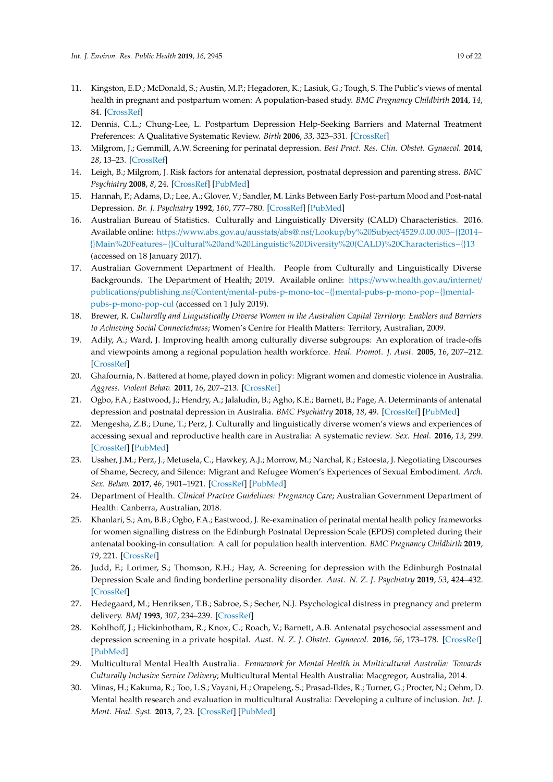- <span id="page-18-0"></span>11. Kingston, E.D.; McDonald, S.; Austin, M.P.; Hegadoren, K.; Lasiuk, G.; Tough, S. The Public's views of mental health in pregnant and postpartum women: A population-based study. *BMC Pregnancy Childbirth* **2014**, *14*, 84. [\[CrossRef\]](http://dx.doi.org/10.1186/1471-2393-14-84)
- 12. Dennis, C.L.; Chung-Lee, L. Postpartum Depression Help-Seeking Barriers and Maternal Treatment Preferences: A Qualitative Systematic Review. *Birth* **2006**, *33*, 323–331. [\[CrossRef\]](http://dx.doi.org/10.1111/j.1523-536X.2006.00130.x)
- <span id="page-18-1"></span>13. Milgrom, J.; Gemmill, A.W. Screening for perinatal depression. *Best Pract. Res. Clin. Obstet. Gynaecol.* **2014**, *28*, 13–23. [\[CrossRef\]](http://dx.doi.org/10.1016/j.bpobgyn.2013.08.014)
- <span id="page-18-2"></span>14. Leigh, B.; Milgrom, J. Risk factors for antenatal depression, postnatal depression and parenting stress. *BMC Psychiatry* **2008**, *8*, 24. [\[CrossRef\]](http://dx.doi.org/10.1186/1471-244X-8-24) [\[PubMed\]](http://www.ncbi.nlm.nih.gov/pubmed/18412979)
- <span id="page-18-3"></span>15. Hannah, P.; Adams, D.; Lee, A.; Glover, V.; Sandler, M. Links Between Early Post-partum Mood and Post-natal Depression. *Br. J. Psychiatry* **1992**, *160*, 777–780. [\[CrossRef\]](http://dx.doi.org/10.1192/bjp.160.6.777) [\[PubMed\]](http://www.ncbi.nlm.nih.gov/pubmed/1617360)
- <span id="page-18-4"></span>16. Australian Bureau of Statistics. Culturally and Linguistically Diversity (CALD) Characteristics. 2016. Available online: https://www.abs.gov.au/ausstats/abs@.nsf/Lookup/by%20Subject/[4529.0.00.003~{}2014~](https://www.abs.gov.au/ausstats/abs@.nsf/Lookup/by%20Subject/4529.0.00.003~{}2014~{}Main%20Features~{}Cultural%20and%20Linguistic%20Diversity%20(CALD)%20Characteristics~{}13) [{}Main%20Features~{}Cultural%20and%20Linguistic%20Diversity%20\(CALD\)%20Characteristics~{}13](https://www.abs.gov.au/ausstats/abs@.nsf/Lookup/by%20Subject/4529.0.00.003~{}2014~{}Main%20Features~{}Cultural%20and%20Linguistic%20Diversity%20(CALD)%20Characteristics~{}13) (accessed on 18 January 2017).
- <span id="page-18-5"></span>17. Australian Government Department of Health. People from Culturally and Linguistically Diverse Backgrounds. The Department of Health; 2019. Available online: https://[www.health.gov.au](https://www.health.gov.au/internet/publications/publishing.nsf/Content/mental-pubs-p-mono-toc~{}mental-pubs-p-mono-pop~{}mental-pubs-p-mono-pop-cul)/internet/ publications/publishing.nsf/Content/[mental-pubs-p-mono-toc~{}mental-pubs-p-mono-pop~{}mental](https://www.health.gov.au/internet/publications/publishing.nsf/Content/mental-pubs-p-mono-toc~{}mental-pubs-p-mono-pop~{}mental-pubs-p-mono-pop-cul)[pubs-p-mono-pop-cul](https://www.health.gov.au/internet/publications/publishing.nsf/Content/mental-pubs-p-mono-toc~{}mental-pubs-p-mono-pop~{}mental-pubs-p-mono-pop-cul) (accessed on 1 July 2019).
- <span id="page-18-6"></span>18. Brewer, R. *Culturally and Linguistically Diverse Women in the Australian Capital Territory: Enablers and Barriers to Achieving Social Connectedness*; Women's Centre for Health Matters: Territory, Australian, 2009.
- <span id="page-18-7"></span>19. Adily, A.; Ward, J. Improving health among culturally diverse subgroups: An exploration of trade-offs and viewpoints among a regional population health workforce. *Heal. Promot. J. Aust.* **2005**, *16*, 207–212. [\[CrossRef\]](http://dx.doi.org/10.1071/HE05207)
- <span id="page-18-8"></span>20. Ghafournia, N. Battered at home, played down in policy: Migrant women and domestic violence in Australia. *Aggress. Violent Behav.* **2011**, *16*, 207–213. [\[CrossRef\]](http://dx.doi.org/10.1016/j.avb.2011.02.009)
- <span id="page-18-9"></span>21. Ogbo, F.A.; Eastwood, J.; Hendry, A.; Jalaludin, B.; Agho, K.E.; Barnett, B.; Page, A. Determinants of antenatal depression and postnatal depression in Australia. *BMC Psychiatry* **2018**, *18*, 49. [\[CrossRef\]](http://dx.doi.org/10.1186/s12888-018-1598-x) [\[PubMed\]](http://www.ncbi.nlm.nih.gov/pubmed/29463221)
- <span id="page-18-10"></span>22. Mengesha, Z.B.; Dune, T.; Perz, J. Culturally and linguistically diverse women's views and experiences of accessing sexual and reproductive health care in Australia: A systematic review. *Sex. Heal.* **2016**, *13*, 299. [\[CrossRef\]](http://dx.doi.org/10.1071/SH15235) [\[PubMed\]](http://www.ncbi.nlm.nih.gov/pubmed/27209062)
- <span id="page-18-11"></span>23. Ussher, J.M.; Perz, J.; Metusela, C.; Hawkey, A.J.; Morrow, M.; Narchal, R.; Estoesta, J. Negotiating Discourses of Shame, Secrecy, and Silence: Migrant and Refugee Women's Experiences of Sexual Embodiment. *Arch. Sex. Behav.* **2017**, *46*, 1901–1921. [\[CrossRef\]](http://dx.doi.org/10.1007/s10508-016-0898-9) [\[PubMed\]](http://www.ncbi.nlm.nih.gov/pubmed/28083724)
- <span id="page-18-12"></span>24. Department of Health. *Clinical Practice Guidelines: Pregnancy Care*; Australian Government Department of Health: Canberra, Australian, 2018.
- <span id="page-18-13"></span>25. Khanlari, S.; Am, B.B.; Ogbo, F.A.; Eastwood, J. Re-examination of perinatal mental health policy frameworks for women signalling distress on the Edinburgh Postnatal Depression Scale (EPDS) completed during their antenatal booking-in consultation: A call for population health intervention. *BMC Pregnancy Childbirth* **2019**, *19*, 221. [\[CrossRef\]](http://dx.doi.org/10.1186/s12884-019-2378-4)
- <span id="page-18-14"></span>26. Judd, F.; Lorimer, S.; Thomson, R.H.; Hay, A. Screening for depression with the Edinburgh Postnatal Depression Scale and finding borderline personality disorder. *Aust. N. Z. J. Psychiatry* **2019**, *53*, 424–432. [\[CrossRef\]](http://dx.doi.org/10.1177/0004867418804067)
- <span id="page-18-15"></span>27. Hedegaard, M.; Henriksen, T.B.; Sabroe, S.; Secher, N.J. Psychological distress in pregnancy and preterm delivery. *BMJ* **1993**, *307*, 234–239. [\[CrossRef\]](http://dx.doi.org/10.1136/bmj.307.6898.234)
- <span id="page-18-16"></span>28. Kohlhoff, J.; Hickinbotham, R.; Knox, C.; Roach, V.; Barnett, A.B. Antenatal psychosocial assessment and depression screening in a private hospital. *Aust. N. Z. J. Obstet. Gynaecol.* **2016**, *56*, 173–178. [\[CrossRef\]](http://dx.doi.org/10.1111/ajo.12418) [\[PubMed\]](http://www.ncbi.nlm.nih.gov/pubmed/26515785)
- <span id="page-18-17"></span>29. Multicultural Mental Health Australia. *Framework for Mental Health in Multicultural Australia: Towards Culturally Inclusive Service Delivery*; Multicultural Mental Health Australia: Macgregor, Australia, 2014.
- <span id="page-18-18"></span>30. Minas, H.; Kakuma, R.; Too, L.S.; Vayani, H.; Orapeleng, S.; Prasad-Ildes, R.; Turner, G.; Procter, N.; Oehm, D. Mental health research and evaluation in multicultural Australia: Developing a culture of inclusion. *Int. J. Ment. Heal. Syst.* **2013**, *7*, 23. [\[CrossRef\]](http://dx.doi.org/10.1186/1752-4458-7-23) [\[PubMed\]](http://www.ncbi.nlm.nih.gov/pubmed/24093216)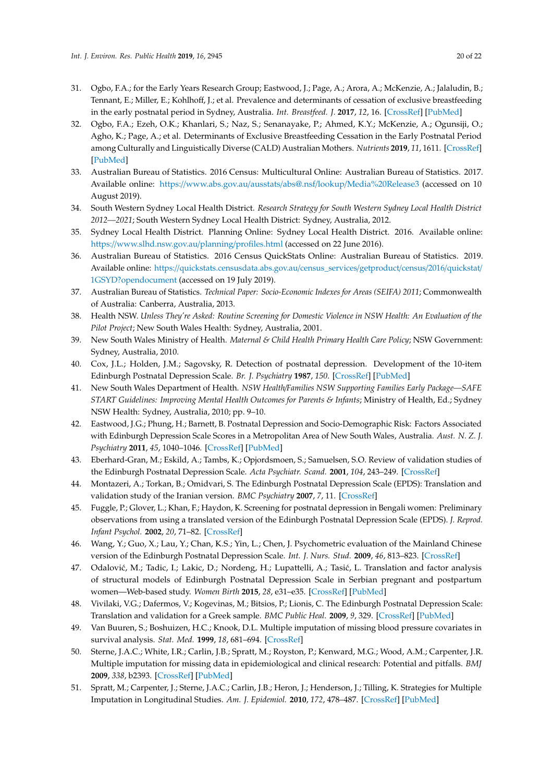- <span id="page-19-0"></span>31. Ogbo, F.A.; for the Early Years Research Group; Eastwood, J.; Page, A.; Arora, A.; McKenzie, A.; Jalaludin, B.; Tennant, E.; Miller, E.; Kohlhoff, J.; et al. Prevalence and determinants of cessation of exclusive breastfeeding in the early postnatal period in Sydney, Australia. *Int. Breastfeed. J.* **2017**, *12*, 16. [\[CrossRef\]](http://dx.doi.org/10.1186/s13006-017-0110-4) [\[PubMed\]](http://www.ncbi.nlm.nih.gov/pubmed/28405212)
- <span id="page-19-1"></span>32. Ogbo, F.A.; Ezeh, O.K.; Khanlari, S.; Naz, S.; Senanayake, P.; Ahmed, K.Y.; McKenzie, A.; Ogunsiji, O.; Agho, K.; Page, A.; et al. Determinants of Exclusive Breastfeeding Cessation in the Early Postnatal Period among Culturally and Linguistically Diverse (CALD) Australian Mothers. *Nutrients* **2019**, *11*, 1611. [\[CrossRef\]](http://dx.doi.org/10.3390/nu11071611) [\[PubMed\]](http://www.ncbi.nlm.nih.gov/pubmed/31315204)
- <span id="page-19-2"></span>33. Australian Bureau of Statistics. 2016 Census: Multicultural Online: Australian Bureau of Statistics. 2017. Available online: https://www.abs.gov.au/ausstats/abs@.nsf/lookup/[Media%20Release3](https://www.abs.gov.au/ausstats/abs@.nsf/lookup/Media%20Release3) (accessed on 10 August 2019).
- <span id="page-19-3"></span>34. South Western Sydney Local Health District. *Research Strategy for South Western Sydney Local Health District 2012—2021*; South Western Sydney Local Health District: Sydney, Australia, 2012.
- <span id="page-19-4"></span>35. Sydney Local Health District. Planning Online: Sydney Local Health District. 2016. Available online: https://[www.slhd.nsw.gov.au](https://www.slhd.nsw.gov.au/planning/profiles.html)/planning/profiles.html (accessed on 22 June 2016).
- <span id="page-19-5"></span>36. Australian Bureau of Statistics. 2016 Census QuickStats Online: Australian Bureau of Statistics. 2019. Available online: https://[quickstats.censusdata.abs.gov.au](https://quickstats.censusdata.abs.gov.au/census_services/getproduct/census/2016/quickstat/1GSYD?opendocument)/census\_services/getproduct/census/2016/quickstat/ [1GSYD?opendocument](https://quickstats.censusdata.abs.gov.au/census_services/getproduct/census/2016/quickstat/1GSYD?opendocument) (accessed on 19 July 2019).
- <span id="page-19-6"></span>37. Australian Bureau of Statistics. *Technical Paper: Socio-Economic Indexes for Areas (SEIFA) 2011*; Commonwealth of Australia: Canberra, Australia, 2013.
- <span id="page-19-7"></span>38. Health NSW. *Unless They're Asked: Routine Screening for Domestic Violence in NSW Health: An Evaluation of the Pilot Project*; New South Wales Health: Sydney, Australia, 2001.
- <span id="page-19-8"></span>39. New South Wales Ministry of Health. *Maternal & Child Health Primary Health Care Policy*; NSW Government: Sydney, Australia, 2010.
- <span id="page-19-9"></span>40. Cox, J.L.; Holden, J.M.; Sagovsky, R. Detection of postnatal depression. Development of the 10-item Edinburgh Postnatal Depression Scale. *Br. J. Psychiatry* **1987**, *150*. [\[CrossRef\]](http://dx.doi.org/10.1192/bjp.150.6.782) [\[PubMed\]](http://www.ncbi.nlm.nih.gov/pubmed/3651732)
- <span id="page-19-10"></span>41. New South Wales Department of Health. *NSW Health*/*Families NSW Supporting Families Early Package—SAFE START Guidelines: Improving Mental Health Outcomes for Parents & Infants*; Ministry of Health, Ed.; Sydney NSW Health: Sydney, Australia, 2010; pp. 9–10.
- <span id="page-19-11"></span>42. Eastwood, J.G.; Phung, H.; Barnett, B. Postnatal Depression and Socio-Demographic Risk: Factors Associated with Edinburgh Depression Scale Scores in a Metropolitan Area of New South Wales, Australia. *Aust. N. Z. J. Psychiatry* **2011**, *45*, 1040–1046. [\[CrossRef\]](http://dx.doi.org/10.3109/00048674.2011.619160) [\[PubMed\]](http://www.ncbi.nlm.nih.gov/pubmed/22017687)
- <span id="page-19-12"></span>43. Eberhard-Gran, M.; Eskild, A.; Tambs, K.; Opjordsmoen, S.; Samuelsen, S.O. Review of validation studies of the Edinburgh Postnatal Depression Scale. *Acta Psychiatr. Scand.* **2001**, *104*, 243–249. [\[CrossRef\]](http://dx.doi.org/10.1111/j.1600-0447.2001.00187.x)
- <span id="page-19-13"></span>44. Montazeri, A.; Torkan, B.; Omidvari, S. The Edinburgh Postnatal Depression Scale (EPDS): Translation and validation study of the Iranian version. *BMC Psychiatry* **2007**, *7*, 11. [\[CrossRef\]](http://dx.doi.org/10.1186/1471-244X-7-11)
- <span id="page-19-14"></span>45. Fuggle, P.; Glover, L.; Khan, F.; Haydon, K. Screening for postnatal depression in Bengali women: Preliminary observations from using a translated version of the Edinburgh Postnatal Depression Scale (EPDS). *J. Reprod. Infant Psychol.* **2002**, *20*, 71–82. [\[CrossRef\]](http://dx.doi.org/10.1080/02646830220134603)
- <span id="page-19-15"></span>46. Wang, Y.; Guo, X.; Lau, Y.; Chan, K.S.; Yin, L.; Chen, J. Psychometric evaluation of the Mainland Chinese version of the Edinburgh Postnatal Depression Scale. *Int. J. Nurs. Stud.* **2009**, *46*, 813–823. [\[CrossRef\]](http://dx.doi.org/10.1016/j.ijnurstu.2009.01.010)
- <span id="page-19-16"></span>47. Odalović, M.; Tadic, I.; Lakic, D.; Nordeng, H.; Lupattelli, A.; Tasić, L. Translation and factor analysis of structural models of Edinburgh Postnatal Depression Scale in Serbian pregnant and postpartum women—Web-based study. *Women Birth* **2015**, *28*, e31–e35. [\[CrossRef\]](http://dx.doi.org/10.1016/j.wombi.2015.01.014) [\[PubMed\]](http://www.ncbi.nlm.nih.gov/pubmed/25744940)
- <span id="page-19-17"></span>48. Vivilaki, V.G.; Dafermos, V.; Kogevinas, M.; Bitsios, P.; Lionis, C. The Edinburgh Postnatal Depression Scale: Translation and validation for a Greek sample. *BMC Public Heal.* **2009**, *9*, 329. [\[CrossRef\]](http://dx.doi.org/10.1186/1471-2458-9-329) [\[PubMed\]](http://www.ncbi.nlm.nih.gov/pubmed/19740443)
- <span id="page-19-18"></span>49. Van Buuren, S.; Boshuizen, H.C.; Knook, D.L. Multiple imputation of missing blood pressure covariates in survival analysis. *Stat. Med.* **1999**, *18*, 681–694. [\[CrossRef\]](http://dx.doi.org/10.1002/(SICI)1097-0258(19990330)18:6<681::AID-SIM71>3.0.CO;2-R)
- <span id="page-19-19"></span>50. Sterne, J.A.C.; White, I.R.; Carlin, J.B.; Spratt, M.; Royston, P.; Kenward, M.G.; Wood, A.M.; Carpenter, J.R. Multiple imputation for missing data in epidemiological and clinical research: Potential and pitfalls. *BMJ* **2009**, *338*, b2393. [\[CrossRef\]](http://dx.doi.org/10.1136/bmj.b2393) [\[PubMed\]](http://www.ncbi.nlm.nih.gov/pubmed/19564179)
- <span id="page-19-20"></span>51. Spratt, M.; Carpenter, J.; Sterne, J.A.C.; Carlin, J.B.; Heron, J.; Henderson, J.; Tilling, K. Strategies for Multiple Imputation in Longitudinal Studies. *Am. J. Epidemiol.* **2010**, *172*, 478–487. [\[CrossRef\]](http://dx.doi.org/10.1093/aje/kwq137) [\[PubMed\]](http://www.ncbi.nlm.nih.gov/pubmed/20616200)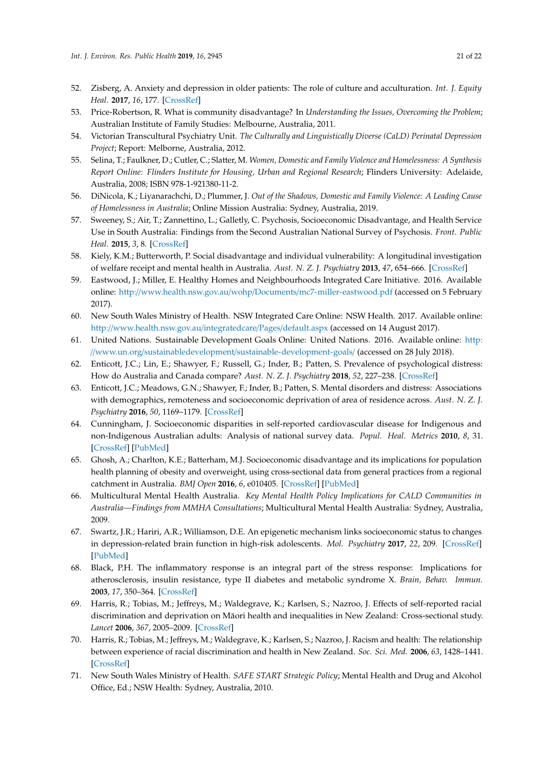- <span id="page-20-0"></span>52. Zisberg, A. Anxiety and depression in older patients: The role of culture and acculturation. *Int. J. Equity Heal.* **2017**, *16*, 177. [\[CrossRef\]](http://dx.doi.org/10.1186/s12939-017-0666-z)
- <span id="page-20-1"></span>53. Price-Robertson, R. What is community disadvantage? In *Understanding the Issues, Overcoming the Problem*; Australian Institute of Family Studies: Melbourne, Australia, 2011.
- <span id="page-20-2"></span>54. Victorian Transcultural Psychiatry Unit. *The Culturally and Linguistically Diverse (CaLD) Perinatal Depression Project*; Report: Melborne, Australia, 2012.
- <span id="page-20-3"></span>55. Selina, T.; Faulkner, D.; Cutler, C.; Slatter, M. *Women, Domestic and Family Violence and Homelessness: A Synthesis Report Online: Flinders Institute for Housing, Urban and Regional Research*; Flinders University: Adelaide, Australia, 2008; ISBN 978-1-921380-11-2.
- <span id="page-20-4"></span>56. DiNicola, K.; Liyanarachchi, D.; Plummer, J. *Out of the Shadows, Domestic and Family Violence: A Leading Cause of Homelessness in Australia*; Online Mission Australia: Sydney, Australia, 2019.
- <span id="page-20-5"></span>57. Sweeney, S.; Air, T.; Zannettino, L.; Galletly, C. Psychosis, Socioeconomic Disadvantage, and Health Service Use in South Australia: Findings from the Second Australian National Survey of Psychosis. *Front. Public Heal.* **2015**, *3*, 8. [\[CrossRef\]](http://dx.doi.org/10.3389/fpubh.2015.00259)
- <span id="page-20-6"></span>58. Kiely, K.M.; Butterworth, P. Social disadvantage and individual vulnerability: A longitudinal investigation of welfare receipt and mental health in Australia. *Aust. N. Z. J. Psychiatry* **2013**, *47*, 654–666. [\[CrossRef\]](http://dx.doi.org/10.1177/0004867413484094)
- <span id="page-20-7"></span>59. Eastwood, J.; Miller, E. Healthy Homes and Neighbourhoods Integrated Care Initiative. 2016. Available online: http://www.health.nsw.gov.au/wohp/Documents/[mc7-miller-eastwood.pdf](http://www.health.nsw.gov.au/wohp/Documents/mc7-miller-eastwood.pdf) (accessed on 5 February 2017).
- <span id="page-20-8"></span>60. New South Wales Ministry of Health. NSW Integrated Care Online: NSW Health. 2017. Available online: http://[www.health.nsw.gov.au](http://www.health.nsw.gov.au/integratedcare/Pages/default.aspx)/integratedcare/Pages/default.aspx (accessed on 14 August 2017).
- <span id="page-20-9"></span>61. United Nations. Sustainable Development Goals Online: United Nations. 2016. Available online: [http:](http://www.un.org/sustainabledevelopment/sustainable-development-goals/) //www.un.org/sustainabledevelopment/[sustainable-development-goals](http://www.un.org/sustainabledevelopment/sustainable-development-goals/)/ (accessed on 28 July 2018).
- <span id="page-20-10"></span>62. Enticott, J.C.; Lin, E.; Shawyer, F.; Russell, G.; Inder, B.; Patten, S. Prevalence of psychological distress: How do Australia and Canada compare? *Aust. N. Z. J. Psychiatry* **2018**, *52*, 227–238. [\[CrossRef\]](http://dx.doi.org/10.1177/0004867417708612)
- <span id="page-20-11"></span>63. Enticott, J.C.; Meadows, G.N.; Shawyer, F.; Inder, B.; Patten, S. Mental disorders and distress: Associations with demographics, remoteness and socioeconomic deprivation of area of residence across. *Aust. N. Z. J. Psychiatry* **2016**, *50*, 1169–1179. [\[CrossRef\]](http://dx.doi.org/10.1177/0004867415615948)
- <span id="page-20-12"></span>64. Cunningham, J. Socioeconomic disparities in self-reported cardiovascular disease for Indigenous and non-Indigenous Australian adults: Analysis of national survey data. *Popul. Heal. Metrics* **2010**, *8*, 31. [\[CrossRef\]](http://dx.doi.org/10.1186/1478-7954-8-31) [\[PubMed\]](http://www.ncbi.nlm.nih.gov/pubmed/21106103)
- <span id="page-20-13"></span>65. Ghosh, A.; Charlton, K.E.; Batterham, M.J. Socioeconomic disadvantage and its implications for population health planning of obesity and overweight, using cross-sectional data from general practices from a regional catchment in Australia. *BMJ Open* **2016**, *6*, e010405. [\[CrossRef\]](http://dx.doi.org/10.1136/bmjopen-2015-010405) [\[PubMed\]](http://www.ncbi.nlm.nih.gov/pubmed/27142857)
- <span id="page-20-14"></span>66. Multicultural Mental Health Australia. *Key Mental Health Policy Implications for CALD Communities in Australia—Findings from MMHA Consultations*; Multicultural Mental Health Australia: Sydney, Australia, 2009.
- <span id="page-20-15"></span>67. Swartz, J.R.; Hariri, A.R.; Williamson, D.E. An epigenetic mechanism links socioeconomic status to changes in depression-related brain function in high-risk adolescents. *Mol. Psychiatry* **2017**, *22*, 209. [\[CrossRef\]](http://dx.doi.org/10.1038/mp.2016.82) [\[PubMed\]](http://www.ncbi.nlm.nih.gov/pubmed/27217150)
- <span id="page-20-16"></span>68. Black, P.H. The inflammatory response is an integral part of the stress response: Implications for atherosclerosis, insulin resistance, type II diabetes and metabolic syndrome X. *Brain, Behav. Immun.* **2003**, *17*, 350–364. [\[CrossRef\]](http://dx.doi.org/10.1016/S0889-1591(03)00048-5)
- <span id="page-20-17"></span>69. Harris, R.; Tobias, M.; Jeffreys, M.; Waldegrave, K.; Karlsen, S.; Nazroo, J. Effects of self-reported racial discrimination and deprivation on Māori health and inequalities in New Zealand: Cross-sectional study. *Lancet* **2006**, *367*, 2005–2009. [\[CrossRef\]](http://dx.doi.org/10.1016/S0140-6736(06)68890-9)
- <span id="page-20-18"></span>70. Harris, R.; Tobias, M.; Jeffreys, M.; Waldegrave, K.; Karlsen, S.; Nazroo, J. Racism and health: The relationship between experience of racial discrimination and health in New Zealand. *Soc. Sci. Med.* **2006**, *63*, 1428–1441. [\[CrossRef\]](http://dx.doi.org/10.1016/j.socscimed.2006.04.009)
- <span id="page-20-19"></span>71. New South Wales Ministry of Health. *SAFE START Strategic Policy*; Mental Health and Drug and Alcohol Office, Ed.; NSW Health: Sydney, Australia, 2010.